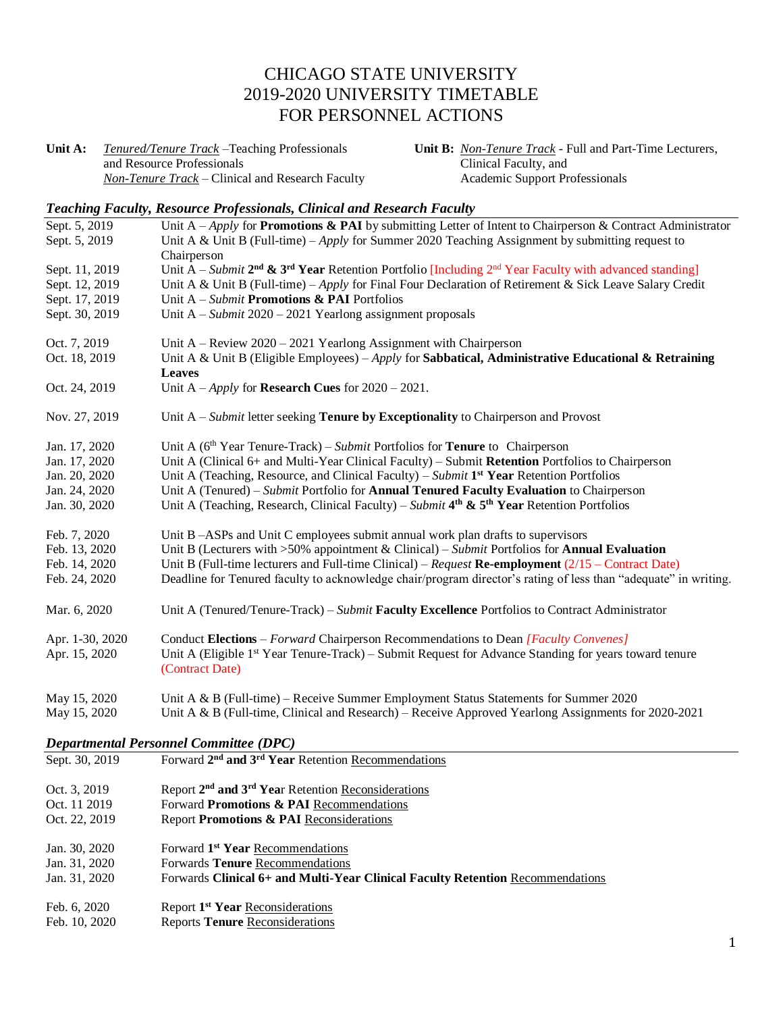# CHICAGO STATE UNIVERSITY 2019-2020 UNIVERSITY TIMETABLE FOR PERSONNEL ACTIONS

**Unit A:** *Tenured/Tenure Track –*Teaching Professionals and Resource Professionals *Non-Tenure Track –* Clinical and Research Faculty **Unit B:** *Non-Tenure Track* - Full and Part-Time Lecturers, Clinical Faculty, and Academic Support Professionals

#### *Teaching Faculty, Resource Professionals, Clinical and Research Faculty*

| Sept. 5, 2019<br>Sept. 5, 2019 | Unit A – Apply for <b>Promotions &amp; PAI</b> by submitting Letter of Intent to Chairperson & Contract Administrator<br>Unit A & Unit B (Full-time) – Apply for Summer 2020 Teaching Assignment by submitting request to |
|--------------------------------|---------------------------------------------------------------------------------------------------------------------------------------------------------------------------------------------------------------------------|
|                                | Chairperson                                                                                                                                                                                                               |
| Sept. 11, 2019                 | Unit A – Submit $2^{nd}$ & $3^{rd}$ Year Retention Portfolio [Including $2^{nd}$ Year Faculty with advanced standing]                                                                                                     |
| Sept. 12, 2019                 | Unit A & Unit B (Full-time) – Apply for Final Four Declaration of Retirement & Sick Leave Salary Credit                                                                                                                   |
| Sept. 17, 2019                 | Unit $A - Submit$ Promotions & PAI Portfolios                                                                                                                                                                             |
| Sept. 30, 2019                 | Unit $A - Submit 2020 - 2021$ Yearlong assignment proposals                                                                                                                                                               |
| Oct. 7, 2019                   | Unit $A -$ Review 2020 – 2021 Yearlong Assignment with Chairperson                                                                                                                                                        |
| Oct. 18, 2019                  | Unit A & Unit B (Eligible Employees) – Apply for Sabbatical, Administrative Educational & Retraining<br>Leaves                                                                                                            |
| Oct. 24, 2019                  | Unit A – Apply for <b>Research Cues</b> for $2020 - 2021$ .                                                                                                                                                               |
| Nov. 27, 2019                  | Unit $A - Submit$ letter seeking <b>Tenure by Exceptionality</b> to Chairperson and Provost                                                                                                                               |
| Jan. 17, 2020                  | Unit A ( $6th$ Year Tenure-Track) – Submit Portfolios for <b>Tenure</b> to Chairperson                                                                                                                                    |
| Jan. 17, 2020                  | Unit A (Clinical 6+ and Multi-Year Clinical Faculty) – Submit Retention Portfolios to Chairperson                                                                                                                         |
| Jan. 20, 2020                  | Unit A (Teaching, Resource, and Clinical Faculty) – Submit 1 <sup>st</sup> Year Retention Portfolios                                                                                                                      |
| Jan. 24, 2020                  | Unit A (Tenured) - Submit Portfolio for Annual Tenured Faculty Evaluation to Chairperson                                                                                                                                  |
| Jan. 30, 2020                  | Unit A (Teaching, Research, Clinical Faculty) – Submit $4th$ & 5 <sup>th</sup> Year Retention Portfolios                                                                                                                  |
| Feb. 7, 2020                   | Unit B-ASPs and Unit C employees submit annual work plan drafts to supervisors                                                                                                                                            |
| Feb. 13, 2020                  | Unit B (Lecturers with $>50\%$ appointment & Clinical) – Submit Portfolios for <b>Annual Evaluation</b>                                                                                                                   |
| Feb. 14, 2020                  | Unit B (Full-time lecturers and Full-time Clinical) – Request Re-employment $(2/15 -$ Contract Date)                                                                                                                      |
| Feb. 24, 2020                  | Deadline for Tenured faculty to acknowledge chair/program director's rating of less than "adequate" in writing.                                                                                                           |
| Mar. 6, 2020                   | Unit A (Tenured/Tenure-Track) - Submit Faculty Excellence Portfolios to Contract Administrator                                                                                                                            |
| Apr. 1-30, 2020                | Conduct Elections – Forward Chairperson Recommendations to Dean [Faculty Convenes]                                                                                                                                        |
| Apr. 15, 2020                  | Unit A (Eligible 1 <sup>st</sup> Year Tenure-Track) – Submit Request for Advance Standing for years toward tenure<br>(Contract Date)                                                                                      |
| May 15, 2020                   | Unit A & B (Full-time) – Receive Summer Employment Status Statements for Summer 2020                                                                                                                                      |
| May 15, 2020                   | Unit A & B (Full-time, Clinical and Research) – Receive Approved Yearlong Assignments for 2020-2021                                                                                                                       |
|                                | <b>Departmental Personnel Committee (DPC)</b>                                                                                                                                                                             |
| Sept. 30, 2019                 | Forward 2 <sup>nd</sup> and 3 <sup>rd</sup> Year Retention Recommendations                                                                                                                                                |
| Oct. 3, 2019                   | Report 2 <sup>nd</sup> and 3 <sup>rd</sup> Year Retention Reconsiderations                                                                                                                                                |
| Oct. 11 2019                   | Forward Promotions & PAI Recommendations                                                                                                                                                                                  |
| Oct. 22, 2019                  | Report Promotions & PAI Reconsiderations                                                                                                                                                                                  |
| Jan. 30, 2020                  | Forward 1 <sup>st</sup> Year Recommendations                                                                                                                                                                              |

Jan. 31, 2020 Forwards **Tenure** Recommendations

Jan. 31, 2020 Forwards **Clinical 6+ and Multi-Year Clinical Faculty Retention** Recommendations

- Feb. 6, 2020 **Report 1<sup>st</sup> Year** Reconsiderations
- Feb. 10, 2020 Reports **Tenure** Reconsiderations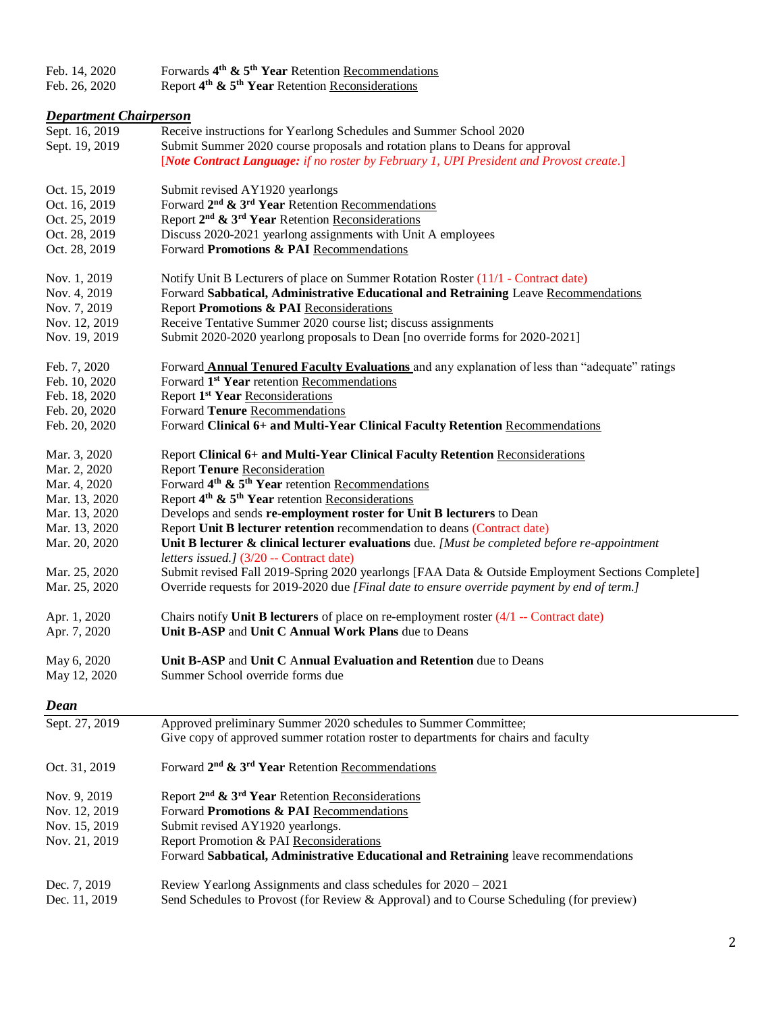| Feb. 14, 2020 | Forwards $4th$ & $5th$ Year Retention Recommendations |
|---------------|-------------------------------------------------------|
| -             | $\mathbf{A}$ and $\mathbf{A}$ and $\mathbf{A}$        |

Feb. 26, 2020 Report **4 th & 5th Year** Retention Reconsiderations

# *Department Chairperson*

| Sept. 16, 2019<br>Sept. 19, 2019 | Receive instructions for Yearlong Schedules and Summer School 2020<br>Submit Summer 2020 course proposals and rotation plans to Deans for approval<br>[Note Contract Language: if no roster by February 1, UPI President and Provost create.] |
|----------------------------------|-----------------------------------------------------------------------------------------------------------------------------------------------------------------------------------------------------------------------------------------------|
| Oct. 15, 2019                    | Submit revised AY1920 yearlongs                                                                                                                                                                                                               |
| Oct. 16, 2019                    | Forward 2 <sup>nd</sup> & 3 <sup>rd</sup> Year Retention Recommendations                                                                                                                                                                      |
| Oct. 25, 2019                    | Report 2 <sup>nd</sup> & 3 <sup>rd</sup> Year Retention Reconsiderations                                                                                                                                                                      |
| Oct. 28, 2019                    | Discuss 2020-2021 yearlong assignments with Unit A employees                                                                                                                                                                                  |
| Oct. 28, 2019                    | Forward Promotions & PAI Recommendations                                                                                                                                                                                                      |
| Nov. 1, 2019                     | Notify Unit B Lecturers of place on Summer Rotation Roster (11/1 - Contract date)                                                                                                                                                             |
| Nov. 4, 2019                     | Forward Sabbatical, Administrative Educational and Retraining Leave Recommendations                                                                                                                                                           |
| Nov. 7, 2019                     | Report Promotions & PAI Reconsiderations                                                                                                                                                                                                      |
| Nov. 12, 2019                    | Receive Tentative Summer 2020 course list; discuss assignments                                                                                                                                                                                |
| Nov. 19, 2019                    | Submit 2020-2020 yearlong proposals to Dean [no override forms for 2020-2021]                                                                                                                                                                 |
| Feb. 7, 2020                     | Forward <b>Annual Tenured Faculty Evaluations</b> and any explanation of less than "adequate" ratings                                                                                                                                         |
| Feb. 10, 2020                    | Forward 1 <sup>st</sup> Year retention Recommendations                                                                                                                                                                                        |
| Feb. 18, 2020                    | Report 1 <sup>st</sup> Year Reconsiderations                                                                                                                                                                                                  |
| Feb. 20, 2020                    | Forward Tenure Recommendations                                                                                                                                                                                                                |
| Feb. 20, 2020                    | Forward Clinical 6+ and Multi-Year Clinical Faculty Retention Recommendations                                                                                                                                                                 |
| Mar. 3, 2020                     | Report Clinical 6+ and Multi-Year Clinical Faculty Retention Reconsiderations                                                                                                                                                                 |
| Mar. 2, 2020                     | <b>Report Tenure Reconsideration</b>                                                                                                                                                                                                          |
| Mar. 4, 2020                     | Forward 4 <sup>th</sup> & 5 <sup>th</sup> Year retention Recommendations                                                                                                                                                                      |
| Mar. 13, 2020                    | Report 4 <sup>th</sup> & 5 <sup>th</sup> Year retention Reconsiderations                                                                                                                                                                      |
| Mar. 13, 2020                    | Develops and sends re-employment roster for Unit B lecturers to Dean                                                                                                                                                                          |
| Mar. 13, 2020                    | Report Unit B lecturer retention recommendation to deans (Contract date)                                                                                                                                                                      |
| Mar. 20, 2020                    | Unit B lecturer $\&$ clinical lecturer evaluations due. [Must be completed before re-appointment                                                                                                                                              |
|                                  | letters issued.] (3/20 -- Contract date)                                                                                                                                                                                                      |
| Mar. 25, 2020                    | Submit revised Fall 2019-Spring 2020 yearlongs [FAA Data & Outside Employment Sections Complete]                                                                                                                                              |
| Mar. 25, 2020                    | Override requests for 2019-2020 due [Final date to ensure override payment by end of term.]                                                                                                                                                   |
| Apr. 1, 2020                     | Chairs notify Unit B lecturers of place on re-employment roster $(4/1 -$ Contract date)                                                                                                                                                       |
| Apr. 7, 2020                     | Unit B-ASP and Unit C Annual Work Plans due to Deans                                                                                                                                                                                          |
| May 6, 2020                      | Unit B-ASP and Unit C Annual Evaluation and Retention due to Deans                                                                                                                                                                            |
| May 12, 2020                     | Summer School override forms due                                                                                                                                                                                                              |
| Dean                             |                                                                                                                                                                                                                                               |
| Sept. 27, 2019                   | Approved preliminary Summer 2020 schedules to Summer Committee;                                                                                                                                                                               |
|                                  | Give copy of approved summer rotation roster to departments for chairs and faculty                                                                                                                                                            |
| Oct. 31, 2019                    | Forward 2 <sup>nd</sup> & 3 <sup>rd</sup> Year Retention Recommendations                                                                                                                                                                      |
| Nov. 9, 2019                     | Report 2 <sup>nd</sup> & 3 <sup>rd</sup> Year Retention Reconsiderations                                                                                                                                                                      |
| Nov. 12, 2019                    | Forward Promotions & PAI Recommendations                                                                                                                                                                                                      |
| Nov. 15, 2019                    | Submit revised AY1920 yearlongs.                                                                                                                                                                                                              |
| Nov. 21, 2019                    | Report Promotion & PAI Reconsiderations                                                                                                                                                                                                       |
|                                  | Forward Sabbatical, Administrative Educational and Retraining leave recommendations                                                                                                                                                           |
| Dec. 7, 2019                     | Review Yearlong Assignments and class schedules for 2020 - 2021                                                                                                                                                                               |
| Dec. 11, 2019                    | Send Schedules to Provost (for Review & Approval) and to Course Scheduling (for preview)                                                                                                                                                      |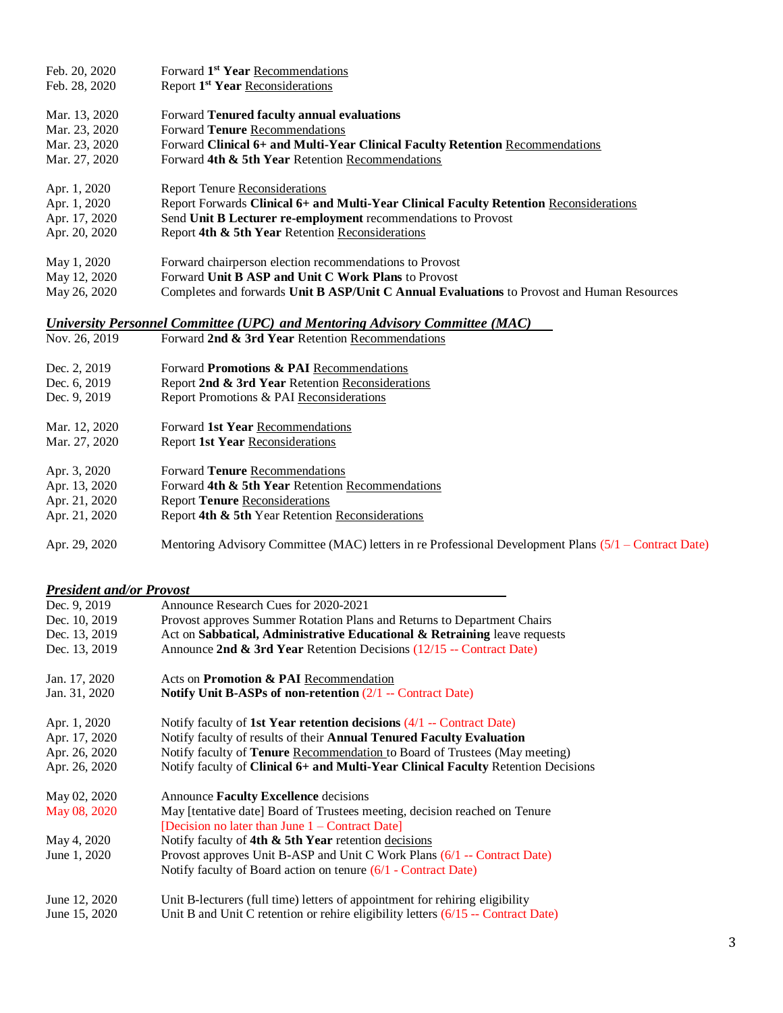| Feb. 20, 2020                                                               | Forward 1 <sup>st</sup> Year Recommendations                                               |
|-----------------------------------------------------------------------------|--------------------------------------------------------------------------------------------|
| Feb. 28, 2020                                                               | Report 1 <sup>st</sup> Year Reconsiderations                                               |
| Mar. 13, 2020                                                               | Forward Tenured faculty annual evaluations                                                 |
| Mar. 23, 2020                                                               | Forward Tenure Recommendations                                                             |
| Mar. 23, 2020                                                               | Forward Clinical 6+ and Multi-Year Clinical Faculty Retention Recommendations              |
| Mar. 27, 2020                                                               | Forward 4th & 5th Year Retention Recommendations                                           |
| Apr. 1, 2020                                                                | <b>Report Tenure Reconsiderations</b>                                                      |
| Apr. 1, 2020                                                                | Report Forwards Clinical 6+ and Multi-Year Clinical Faculty Retention Reconsiderations     |
| Apr. 17, 2020                                                               | Send Unit B Lecturer re-employment recommendations to Provost                              |
| Apr. 20, 2020                                                               | Report 4th & 5th Year Retention Reconsiderations                                           |
| May 1, 2020                                                                 | Forward chairperson election recommendations to Provost                                    |
| May 12, 2020                                                                | Forward Unit B ASP and Unit C Work Plans to Provost                                        |
| May 26, 2020                                                                | Completes and forwards Unit B ASP/Unit C Annual Evaluations to Provost and Human Resources |
| University Personnel Committee (UPC) and Mentoring Advisory Committee (MAC) |                                                                                            |
| Nov. 26, 2019                                                               | Forward 2nd & 3rd Year Retention Recommendations                                           |
| Dec. 2, 2019                                                                | Forward Promotions & PAI Recommendations                                                   |
| Dec. 6, 2019                                                                | Report 2nd & 3rd Year Retention Reconsiderations                                           |
| Dec. 9, 2019                                                                | Report Promotions & PAI Reconsiderations                                                   |
| Mar. 12, 2020                                                               | Forward 1st Year Recommendations                                                           |
| Mar. 27, 2020                                                               | <b>Report 1st Year Reconsiderations</b>                                                    |
| Apr. 3, 2020                                                                | Forward Tenure Recommendations                                                             |
| Apr. 13, 2020                                                               | Forward 4th & 5th Year Retention Recommendations                                           |
| Apr. 21, 2020                                                               | <b>Report Tenure Reconsiderations</b>                                                      |
| Apr. 21, 2020                                                               | Report 4th & 5th Year Retention Reconsiderations                                           |

Apr. 29, 2020 Mentoring Advisory Committee (MAC) letters in re Professional Development Plans (5/1 – Contract Date)

# *President and/or Provost*

| Dec. 9, 2019  | Announce Research Cues for 2020-2021                                                     |
|---------------|------------------------------------------------------------------------------------------|
| Dec. 10, 2019 | Provost approves Summer Rotation Plans and Returns to Department Chairs                  |
| Dec. 13, 2019 | Act on Sabbatical, Administrative Educational & Retraining leave requests                |
| Dec. 13, 2019 | Announce 2nd & 3rd Year Retention Decisions $(12/15 -$ Contract Date)                    |
| Jan. 17, 2020 | Acts on Promotion & PAI Recommendation                                                   |
| Jan. 31, 2020 | Notify Unit B-ASPs of non-retention $(2/1 -$ Contract Date)                              |
| Apr. 1, 2020  | Notify faculty of 1st Year retention decisions $(4/1 -$ Contract Date)                   |
| Apr. 17, 2020 | Notify faculty of results of their <b>Annual Tenured Faculty Evaluation</b>              |
| Apr. 26, 2020 | Notify faculty of Tenure Recommendation to Board of Trustees (May meeting)               |
| Apr. 26, 2020 | Notify faculty of <b>Clinical 6+ and Multi-Year Clinical Faculty</b> Retention Decisions |
| May 02, 2020  | Announce Faculty Excellence decisions                                                    |
| May 08, 2020  | May [tentative date] Board of Trustees meeting, decision reached on Tenure               |
|               | [Decision no later than June $1 -$ Contract Date]                                        |
| May 4, 2020   | Notify faculty of 4th $\&$ 5th Year retention decisions                                  |
| June 1, 2020  | Provost approves Unit B-ASP and Unit C Work Plans (6/1 -- Contract Date)                 |
|               | Notify faculty of Board action on tenure $(6/1$ - Contract Date)                         |
| June 12, 2020 | Unit B-lecturers (full time) letters of appointment for rehiring eligibility             |
| June 15, 2020 | Unit B and Unit C retention or rehire eligibility letters (6/15 -- Contract Date)        |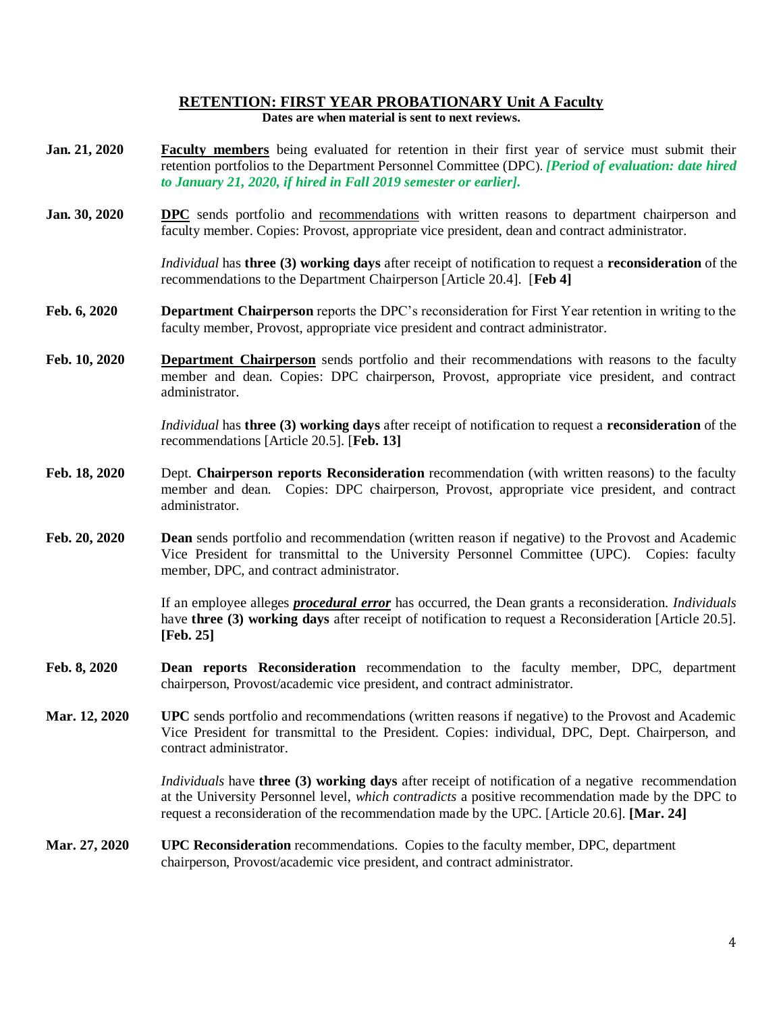#### **RETENTION: FIRST YEAR PROBATIONARY Unit A Faculty Dates are when material is sent to next reviews.**

- **Jan. 21, 2020 Faculty members** being evaluated for retention in their first year of service must submit their retention portfolios to the Department Personnel Committee (DPC). *[Period of evaluation: date hired to January 21, 2020, if hired in Fall 2019 semester or earlier].*
- **Jan.** 30, 2020 **DPC** sends portfolio and recommendations with written reasons to department chairperson and faculty member. Copies: Provost, appropriate vice president, dean and contract administrator.

*Individual* has **three (3) working days** after receipt of notification to request a **reconsideration** of the recommendations to the Department Chairperson [Article 20.4]. [**Feb 4]**

- **Feb. 6, 2020 Department Chairperson** reports the DPC's reconsideration for First Year retention in writing to the faculty member, Provost, appropriate vice president and contract administrator.
- **Feb. 10, 2020 Department Chairperson** sends portfolio and their recommendations with reasons to the faculty member and dean. Copies: DPC chairperson, Provost, appropriate vice president, and contract administrator.

*Individual* has **three (3) working days** after receipt of notification to request a **reconsideration** of the recommendations [Article 20.5]. [**Feb. 13]**

- **Feb. 18, 2020** Dept. **Chairperson reports Reconsideration** recommendation (with written reasons) to the faculty member and dean. Copies: DPC chairperson, Provost, appropriate vice president, and contract administrator.
- **Feb. 20, 2020 Dean** sends portfolio and recommendation (written reason if negative) to the Provost and Academic Vice President for transmittal to the University Personnel Committee (UPC). Copies: faculty member, DPC, and contract administrator.

If an employee alleges *procedural error* has occurred, the Dean grants a reconsideration. *Individuals*  have **three (3) working days** after receipt of notification to request a Reconsideration [Article 20.5]. **[Feb. 25]**

- **Feb. 8, 2020 Dean reports Reconsideration** recommendation to the faculty member, DPC, department chairperson, Provost/academic vice president, and contract administrator.
- **Mar. 12, 2020 UPC** sends portfolio and recommendations (written reasons if negative) to the Provost and Academic Vice President for transmittal to the President. Copies: individual, DPC, Dept. Chairperson, and contract administrator.

*Individuals* have **three (3) working days** after receipt of notification of a negative recommendation at the University Personnel level, *which contradicts* a positive recommendation made by the DPC to request a reconsideration of the recommendation made by the UPC. [Article 20.6]. **[Mar. 24]**

**Mar. 27, 2020 UPC Reconsideration** recommendations. Copies to the faculty member, DPC, department chairperson, Provost/academic vice president, and contract administrator.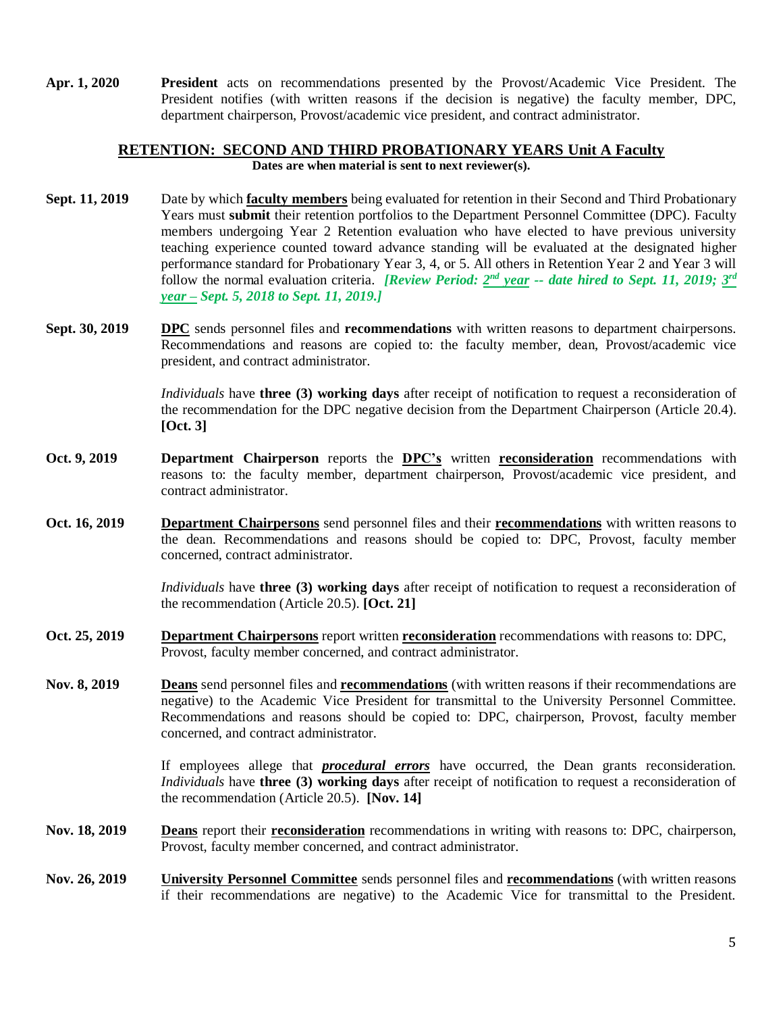**Apr. 1, 2020 President** acts on recommendations presented by the Provost/Academic Vice President. The President notifies (with written reasons if the decision is negative) the faculty member, DPC, department chairperson, Provost/academic vice president, and contract administrator.

## **RETENTION: SECOND AND THIRD PROBATIONARY YEARS Unit A Faculty Dates are when material is sent to next reviewer(s).**

- **Sept. 11, 2019** Date by which **faculty members** being evaluated for retention in their Second and Third Probationary Years must **submit** their retention portfolios to the Department Personnel Committee (DPC). Faculty members undergoing Year 2 Retention evaluation who have elected to have previous university teaching experience counted toward advance standing will be evaluated at the designated higher performance standard for Probationary Year 3, 4, or 5. All others in Retention Year 2 and Year 3 will follow the normal evaluation criteria. *[Review Period: 2<sup>nd</sup> year -- date hired to Sept. 11, 2019; 3<sup>rd</sup> year – Sept. 5, 2018 to Sept. 11, 2019.]*
- **Sept. 30, 2019 DPC** sends personnel files and **recommendations** with written reasons to department chairpersons. Recommendations and reasons are copied to: the faculty member, dean, Provost/academic vice president, and contract administrator.

*Individuals* have **three (3) working days** after receipt of notification to request a reconsideration of the recommendation for the DPC negative decision from the Department Chairperson (Article 20.4). **[Oct. 3]**

- **Oct. 9, 2019 Department Chairperson** reports the **DPC's** written **reconsideration** recommendations with reasons to: the faculty member, department chairperson, Provost/academic vice president, and contract administrator.
- **Oct. 16, 2019 Department Chairpersons** send personnel files and their **recommendations** with written reasons to the dean. Recommendations and reasons should be copied to: DPC, Provost, faculty member concerned, contract administrator.

*Individuals* have **three (3) working days** after receipt of notification to request a reconsideration of the recommendation (Article 20.5). **[Oct. 21]**

- **Oct. 25, 2019 Department Chairpersons** report written **reconsideration** recommendations with reasons to: DPC, Provost, faculty member concerned, and contract administrator.
- **Nov. 8, 2019 Deans** send personnel files and **recommendations** (with written reasons if their recommendations are negative) to the Academic Vice President for transmittal to the University Personnel Committee. Recommendations and reasons should be copied to: DPC, chairperson, Provost, faculty member concerned, and contract administrator.

If employees allege that *procedural errors* have occurred, the Dean grants reconsideration. *Individuals* have **three (3) working days** after receipt of notification to request a reconsideration of the recommendation (Article 20.5). **[Nov. 14]**

- **Nov. 18, 2019 Deans** report their **reconsideration** recommendations in writing with reasons to: DPC, chairperson, Provost, faculty member concerned, and contract administrator.
- **Nov. 26, 2019 University Personnel Committee** sends personnel files and **recommendations** (with written reasons if their recommendations are negative) to the Academic Vice for transmittal to the President.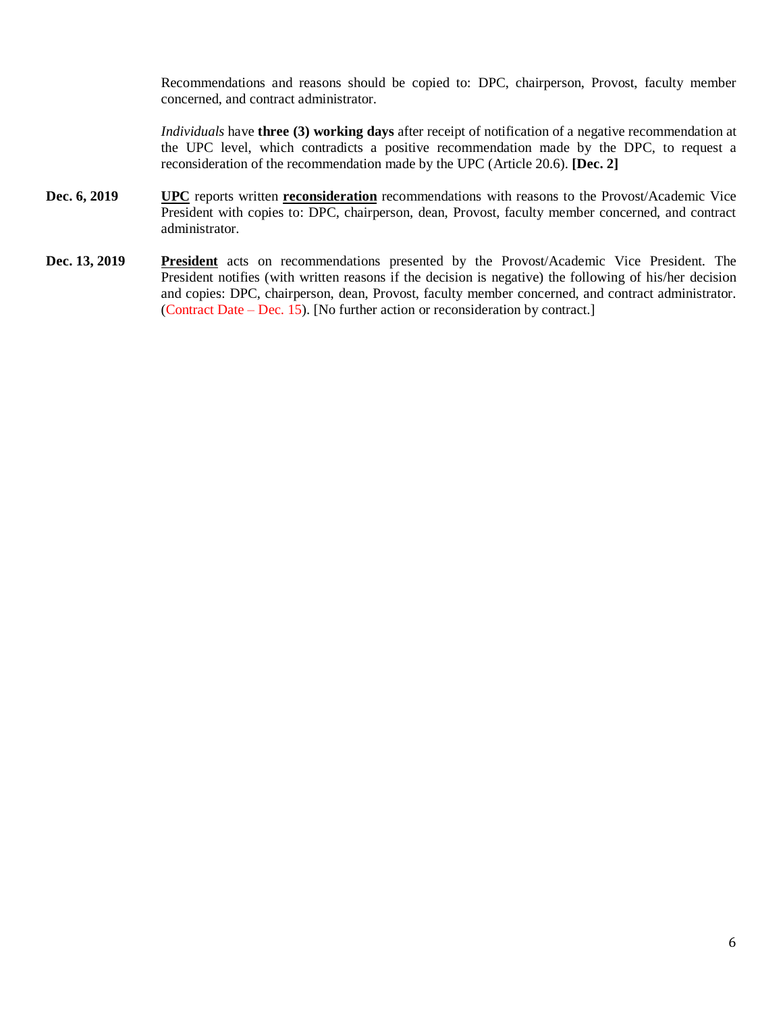Recommendations and reasons should be copied to: DPC, chairperson, Provost, faculty member concerned, and contract administrator.

*Individuals* have **three (3) working days** after receipt of notification of a negative recommendation at the UPC level, which contradicts a positive recommendation made by the DPC, to request a reconsideration of the recommendation made by the UPC (Article 20.6). **[Dec. 2]**

- **Dec. 6, 2019 UPC** reports written **reconsideration** recommendations with reasons to the Provost/Academic Vice President with copies to: DPC, chairperson, dean, Provost, faculty member concerned, and contract administrator.
- **Dec. 13, 2019 President** acts on recommendations presented by the Provost/Academic Vice President. The President notifies (with written reasons if the decision is negative) the following of his/her decision and copies: DPC, chairperson, dean, Provost, faculty member concerned, and contract administrator. (Contract Date – Dec. 15). [No further action or reconsideration by contract.]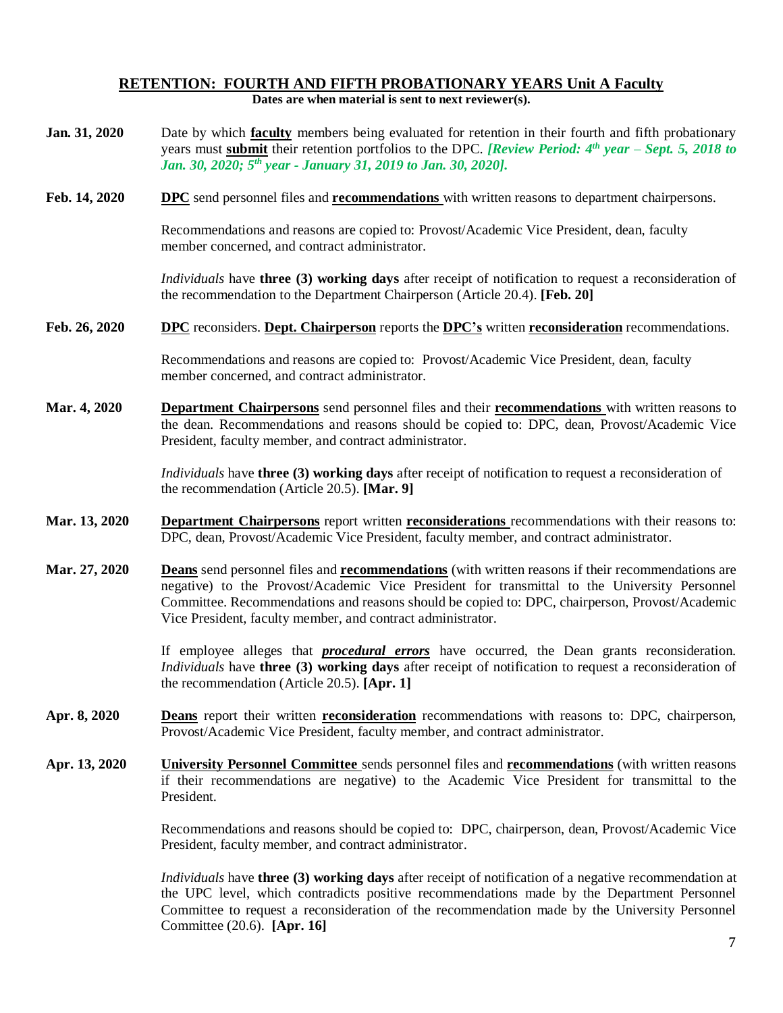## **RETENTION: FOURTH AND FIFTH PROBATIONARY YEARS Unit A Faculty Dates are when material is sent to next reviewer(s).**

| Jan. 31, 2020 | Date by which <b>faculty</b> members being evaluated for retention in their fourth and fifth probationary<br>years must submit their retention portfolios to the DPC. [Review Period: $4th$ year – Sept. 5, 2018 to<br>Jan. 30, 2020; 5 <sup>th</sup> year - January 31, 2019 to Jan. 30, 2020].                                                                                 |
|---------------|----------------------------------------------------------------------------------------------------------------------------------------------------------------------------------------------------------------------------------------------------------------------------------------------------------------------------------------------------------------------------------|
| Feb. 14, 2020 | <b>DPC</b> send personnel files and <b>recommendations</b> with written reasons to department chairpersons.                                                                                                                                                                                                                                                                      |
|               | Recommendations and reasons are copied to: Provost/Academic Vice President, dean, faculty<br>member concerned, and contract administrator.                                                                                                                                                                                                                                       |
|               | <i>Individuals</i> have <b>three (3) working days</b> after receipt of notification to request a reconsideration of<br>the recommendation to the Department Chairperson (Article 20.4). [Feb. 20]                                                                                                                                                                                |
| Feb. 26, 2020 | <b>DPC</b> reconsiders. <b>Dept. Chairperson</b> reports the <b>DPC's</b> written <b>reconsideration</b> recommendations.                                                                                                                                                                                                                                                        |
|               | Recommendations and reasons are copied to: Provost/Academic Vice President, dean, faculty<br>member concerned, and contract administrator.                                                                                                                                                                                                                                       |
| Mar. 4, 2020  | <b>Department Chairpersons</b> send personnel files and their <b>recommendations</b> with written reasons to<br>the dean. Recommendations and reasons should be copied to: DPC, dean, Provost/Academic Vice<br>President, faculty member, and contract administrator.                                                                                                            |
|               | Individuals have three (3) working days after receipt of notification to request a reconsideration of<br>the recommendation (Article 20.5). [Mar. 9]                                                                                                                                                                                                                             |
| Mar. 13, 2020 | <b>Department Chairpersons</b> report written <b>reconsiderations</b> recommendations with their reasons to:<br>DPC, dean, Provost/Academic Vice President, faculty member, and contract administrator.                                                                                                                                                                          |
| Mar. 27, 2020 | <b>Deans</b> send personnel files and <b>recommendations</b> (with written reasons if their recommendations are<br>negative) to the Provost/Academic Vice President for transmittal to the University Personnel<br>Committee. Recommendations and reasons should be copied to: DPC, chairperson, Provost/Academic<br>Vice President, faculty member, and contract administrator. |
|               | If employee alleges that <b>procedural errors</b> have occurred, the Dean grants reconsideration.<br><i>Individuals</i> have three (3) working days after receipt of notification to request a reconsideration of<br>the recommendation (Article 20.5). [Apr. 1]                                                                                                                 |
| Apr. 8, 2020  | Deans report their written reconsideration recommendations with reasons to: DPC, chairperson,<br>Provost/Academic Vice President, faculty member, and contract administrator.                                                                                                                                                                                                    |
| Apr. 13, 2020 | <b>University Personnel Committee</b> sends personnel files and <b>recommendations</b> (with written reasons<br>if their recommendations are negative) to the Academic Vice President for transmittal to the<br>President.                                                                                                                                                       |
|               | Recommendations and reasons should be copied to: DPC, chairperson, dean, Provost/Academic Vice<br>President, faculty member, and contract administrator.                                                                                                                                                                                                                         |
|               | <i>Individuals</i> have <b>three (3) working days</b> after receipt of notification of a negative recommendation at<br>the UPC level, which contradicts positive recommendations made by the Department Personnel<br>Committee to request a reconsideration of the recommendation made by the University Personnel<br>Committee (20.6). [Apr. 16]                                |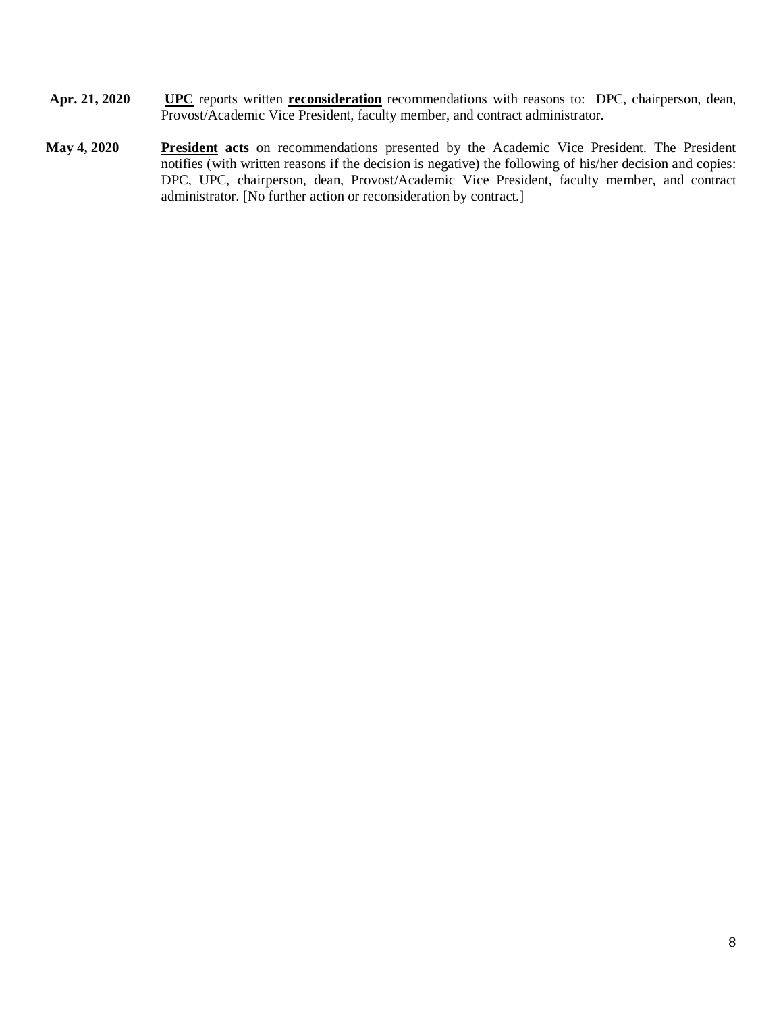- **Apr. 21, 2020 UPC** reports written **reconsideration** recommendations with reasons to: DPC, chairperson, dean, Provost/Academic Vice President, faculty member, and contract administrator.
- **May 4, 2020 President acts** on recommendations presented by the Academic Vice President. The President notifies (with written reasons if the decision is negative) the following of his/her decision and copies: DPC, UPC, chairperson, dean, Provost/Academic Vice President, faculty member, and contract administrator. [No further action or reconsideration by contract.]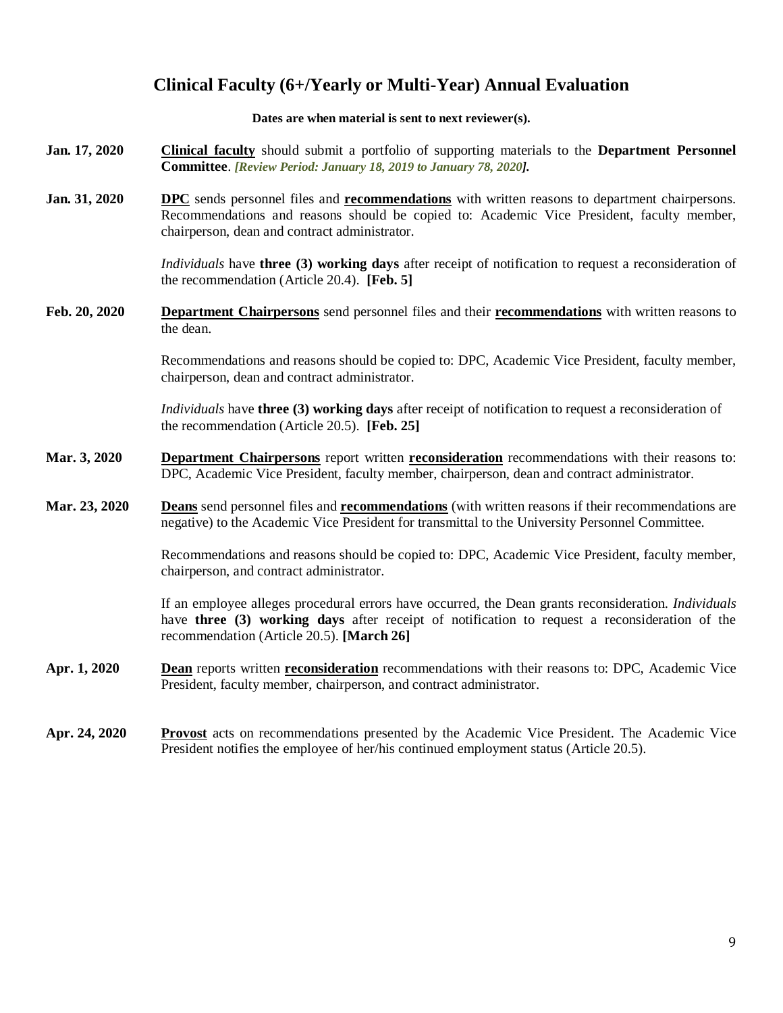# **Clinical Faculty (6+/Yearly or Multi-Year) Annual Evaluation**

#### **Dates are when material is sent to next reviewer(s).**

- **Jan. 17, 2020 Clinical faculty** should submit a portfolio of supporting materials to the **Department Personnel Committee**. *[Review Period: January 18, 2019 to January 78, 2020].*
- **Jan. 31, 2020 DPC** sends personnel files and **recommendations** with written reasons to department chairpersons. Recommendations and reasons should be copied to: Academic Vice President, faculty member, chairperson, dean and contract administrator.

*Individuals* have **three (3) working days** after receipt of notification to request a reconsideration of the recommendation (Article 20.4). **[Feb. 5]**

**Feb. 20, 2020 Department Chairpersons** send personnel files and their **recommendations** with written reasons to the dean.

> Recommendations and reasons should be copied to: DPC, Academic Vice President, faculty member, chairperson, dean and contract administrator.

*Individuals* have **three (3) working days** after receipt of notification to request a reconsideration of the recommendation (Article 20.5). **[Feb. 25]**

- **Mar. 3, 2020 Department Chairpersons** report written **reconsideration** recommendations with their reasons to: DPC, Academic Vice President, faculty member, chairperson, dean and contract administrator.
- **Mar. 23, 2020 Deans** send personnel files and **recommendations** (with written reasons if their recommendations are negative) to the Academic Vice President for transmittal to the University Personnel Committee.

Recommendations and reasons should be copied to: DPC, Academic Vice President, faculty member, chairperson, and contract administrator.

If an employee alleges procedural errors have occurred, the Dean grants reconsideration. *Individuals* have **three (3) working days** after receipt of notification to request a reconsideration of the recommendation (Article 20.5). **[March 26]**

- **Apr. 1, 2020 Dean** reports written **reconsideration** recommendations with their reasons to: DPC, Academic Vice President, faculty member, chairperson, and contract administrator.
- **Apr. 24, 2020 Provost** acts on recommendations presented by the Academic Vice President. The Academic Vice President notifies the employee of her/his continued employment status (Article 20.5).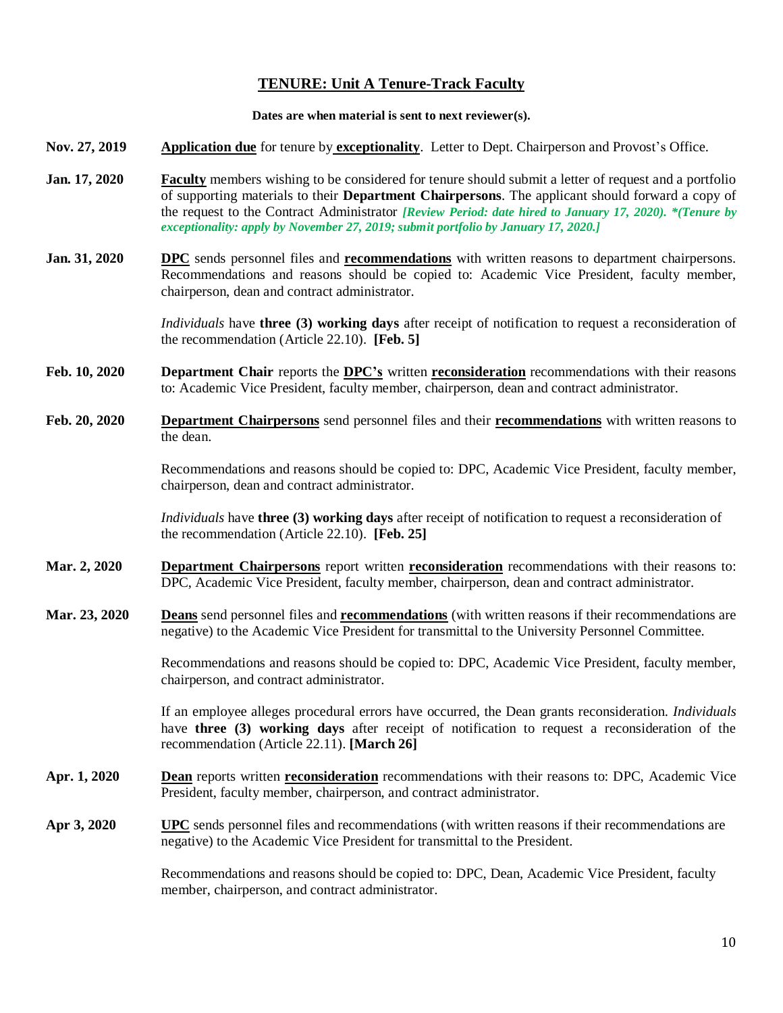# **TENURE: Unit A Tenure-Track Faculty**

#### **Dates are when material is sent to next reviewer(s).**

- **Nov. 27, 2019 Application due** for tenure by **exceptionality**. Letter to Dept. Chairperson and Provost's Office.
- **Jan. 17, 2020 Faculty** members wishing to be considered for tenure should submit a letter of request and a portfolio of supporting materials to their **Department Chairpersons**. The applicant should forward a copy of the request to the Contract Administrator *[Review Period: date hired to January 17, 2020). \*(Tenure by exceptionality: apply by November 27, 2019; submit portfolio by January 17, 2020.]*
- **Jan. 31, 2020 DPC** sends personnel files and **recommendations** with written reasons to department chairpersons. Recommendations and reasons should be copied to: Academic Vice President, faculty member, chairperson, dean and contract administrator.

*Individuals* have **three (3) working days** after receipt of notification to request a reconsideration of the recommendation (Article 22.10). **[Feb. 5]**

- **Feb. 10, 2020 Department Chair** reports the **DPC's** written **reconsideration** recommendations with their reasons to: Academic Vice President, faculty member, chairperson, dean and contract administrator.
- **Feb. 20, 2020 Department Chairpersons** send personnel files and their **recommendations** with written reasons to the dean.

Recommendations and reasons should be copied to: DPC, Academic Vice President, faculty member, chairperson, dean and contract administrator.

*Individuals* have **three (3) working days** after receipt of notification to request a reconsideration of the recommendation (Article 22.10). **[Feb. 25]**

- **Mar. 2, 2020 Department Chairpersons** report written **reconsideration** recommendations with their reasons to: DPC, Academic Vice President, faculty member, chairperson, dean and contract administrator.
- **Mar. 23, 2020 Deans** send personnel files and **recommendations** (with written reasons if their recommendations are negative) to the Academic Vice President for transmittal to the University Personnel Committee.

Recommendations and reasons should be copied to: DPC, Academic Vice President, faculty member, chairperson, and contract administrator.

If an employee alleges procedural errors have occurred, the Dean grants reconsideration. *Individuals* have **three (3) working days** after receipt of notification to request a reconsideration of the recommendation (Article 22.11). **[March 26]**

- **Apr. 1, 2020 Dean** reports written **reconsideration** recommendations with their reasons to: DPC, Academic Vice President, faculty member, chairperson, and contract administrator.
- **Apr 3, 2020 UPC** sends personnel files and recommendations (with written reasons if their recommendations are negative) to the Academic Vice President for transmittal to the President.

Recommendations and reasons should be copied to: DPC, Dean, Academic Vice President, faculty member, chairperson, and contract administrator.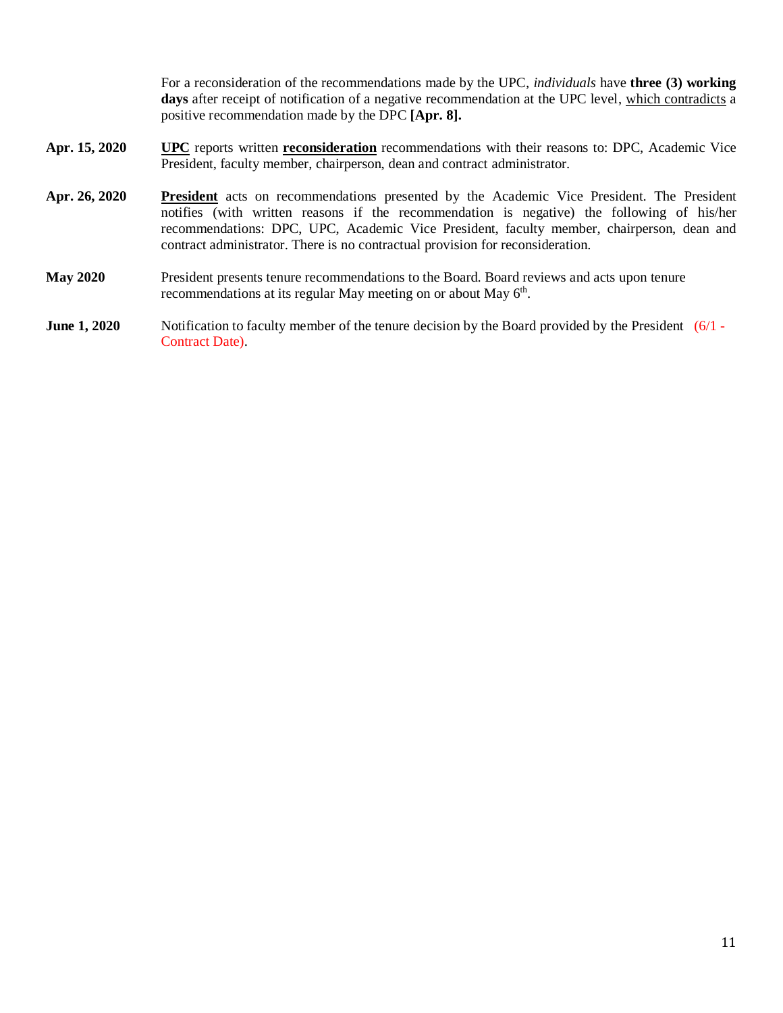For a reconsideration of the recommendations made by the UPC*, individuals* have **three (3) working**  days after receipt of notification of a negative recommendation at the UPC level, which contradicts a positive recommendation made by the DPC **[Apr. 8].**

- **Apr. 15, 2020 UPC** reports written **reconsideration** recommendations with their reasons to: DPC, Academic Vice President, faculty member, chairperson, dean and contract administrator.
- **Apr. 26, 2020 President** acts on recommendations presented by the Academic Vice President. The President notifies (with written reasons if the recommendation is negative) the following of his/her recommendations: DPC, UPC, Academic Vice President, faculty member, chairperson, dean and contract administrator. There is no contractual provision for reconsideration.
- **May 2020** President presents tenure recommendations to the Board. Board reviews and acts upon tenure recommendations at its regular May meeting on or about May 6<sup>th</sup>.
- **June 1, 2020** Notification to faculty member of the tenure decision by the Board provided by the President (6/1 -Contract Date).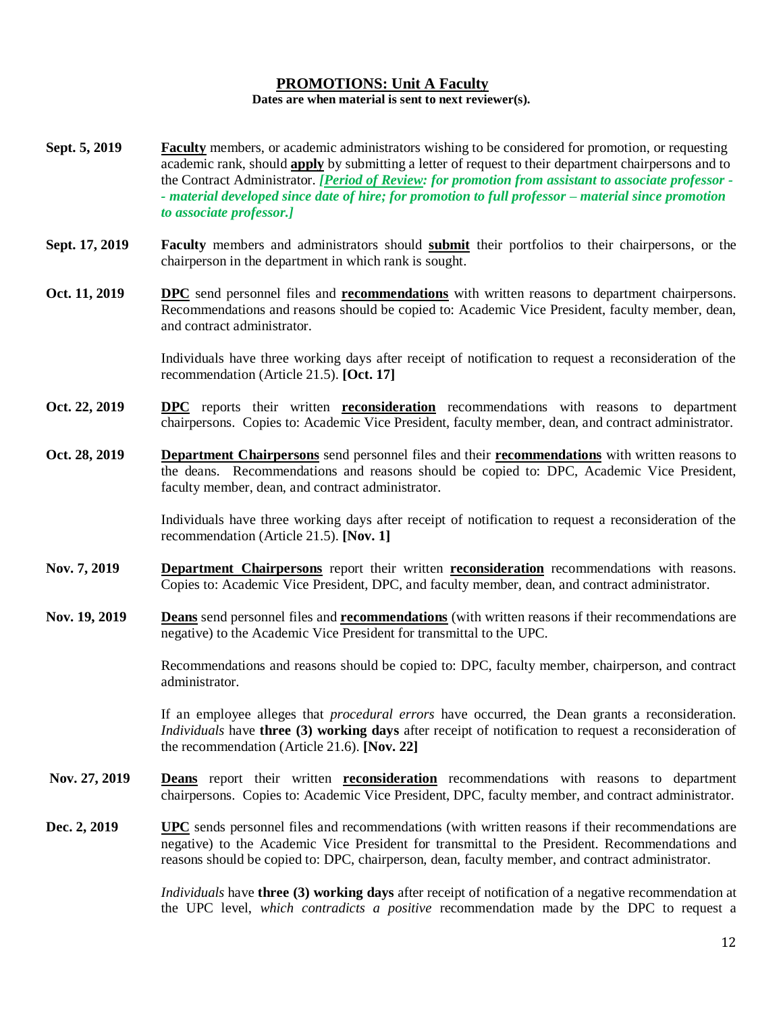## **PROMOTIONS: Unit A Faculty Dates are when material is sent to next reviewer(s).**

- **Sept. 5, 2019 Faculty** members, or academic administrators wishing to be considered for promotion, or requesting academic rank, should **apply** by submitting a letter of request to their department chairpersons and to the Contract Administrator. *[Period of Review: for promotion from assistant to associate professor - - material developed since date of hire; for promotion to full professor – material since promotion to associate professor.]*
- **Sept. 17, 2019 Faculty** members and administrators should **submit** their portfolios to their chairpersons, or the chairperson in the department in which rank is sought.
- **Oct. 11, 2019 DPC** send personnel files and **recommendations** with written reasons to department chairpersons. Recommendations and reasons should be copied to: Academic Vice President, faculty member, dean, and contract administrator.

Individuals have three working days after receipt of notification to request a reconsideration of the recommendation (Article 21.5). **[Oct. 17]**

- **Oct. 22, 2019 DPC** reports their written **reconsideration** recommendations with reasons to department chairpersons. Copies to: Academic Vice President, faculty member, dean, and contract administrator.
- **Oct. 28, 2019 Department Chairpersons** send personnel files and their **recommendations** with written reasons to the deans. Recommendations and reasons should be copied to: DPC, Academic Vice President, faculty member, dean, and contract administrator.

Individuals have three working days after receipt of notification to request a reconsideration of the recommendation (Article 21.5). **[Nov. 1]**

- **Nov. 7, 2019 Department Chairpersons** report their written **reconsideration** recommendations with reasons. Copies to: Academic Vice President, DPC, and faculty member, dean, and contract administrator.
- **Nov. 19, 2019 Deans** send personnel files and **recommendations** (with written reasons if their recommendations are negative) to the Academic Vice President for transmittal to the UPC.

Recommendations and reasons should be copied to: DPC, faculty member, chairperson, and contract administrator.

If an employee alleges that *procedural errors* have occurred, the Dean grants a reconsideration. *Individuals* have **three (3) working days** after receipt of notification to request a reconsideration of the recommendation (Article 21.6). **[Nov. 22]**

- **Nov. 27, 2019 Deans** report their written **reconsideration** recommendations with reasons to department chairpersons. Copies to: Academic Vice President, DPC, faculty member, and contract administrator.
- **Dec. 2, 2019 UPC** sends personnel files and recommendations (with written reasons if their recommendations are negative) to the Academic Vice President for transmittal to the President. Recommendations and reasons should be copied to: DPC, chairperson, dean, faculty member, and contract administrator.

*Individuals* have **three (3) working days** after receipt of notification of a negative recommendation at the UPC level, *which contradicts a positive* recommendation made by the DPC to request a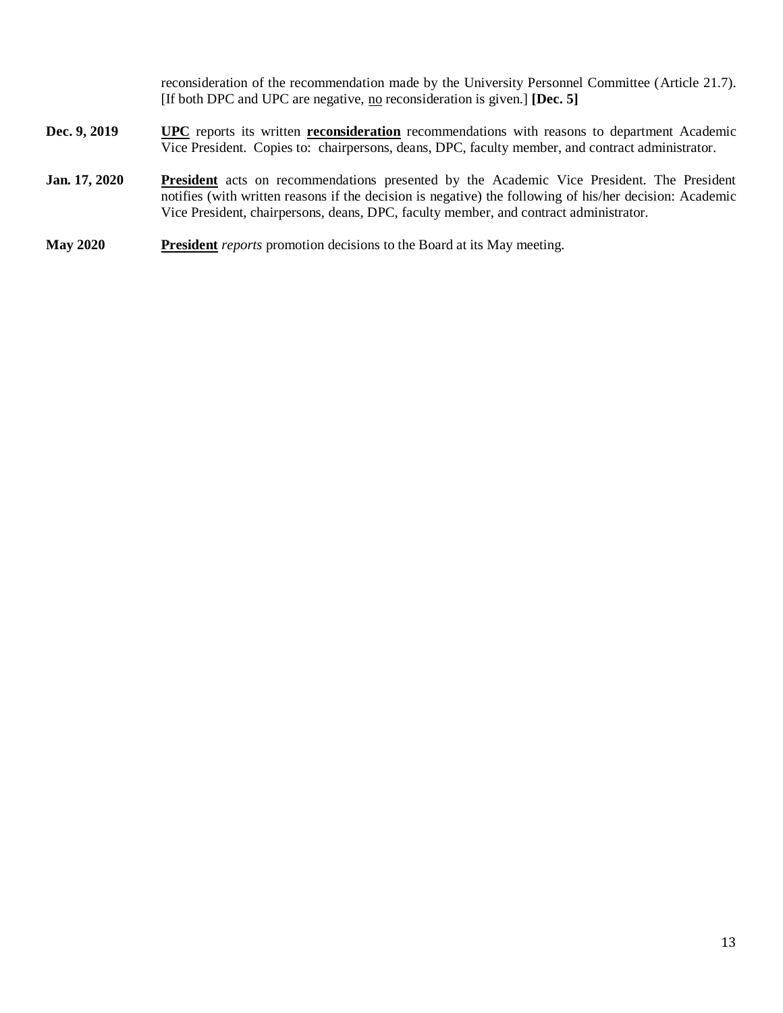reconsideration of the recommendation made by the University Personnel Committee (Article 21.7). [If both DPC and UPC are negative, no reconsideration is given.] **[Dec. 5]**

- **Dec. 9, 2019 UPC** reports its written **reconsideration** recommendations with reasons to department Academic Vice President. Copies to: chairpersons, deans, DPC, faculty member, and contract administrator.
- **Jan. 17, 2020 President** acts on recommendations presented by the Academic Vice President. The President notifies (with written reasons if the decision is negative) the following of his/her decision: Academic Vice President, chairpersons, deans, DPC, faculty member, and contract administrator.
- **May 2020 President** *reports* promotion decisions to the Board at its May meeting.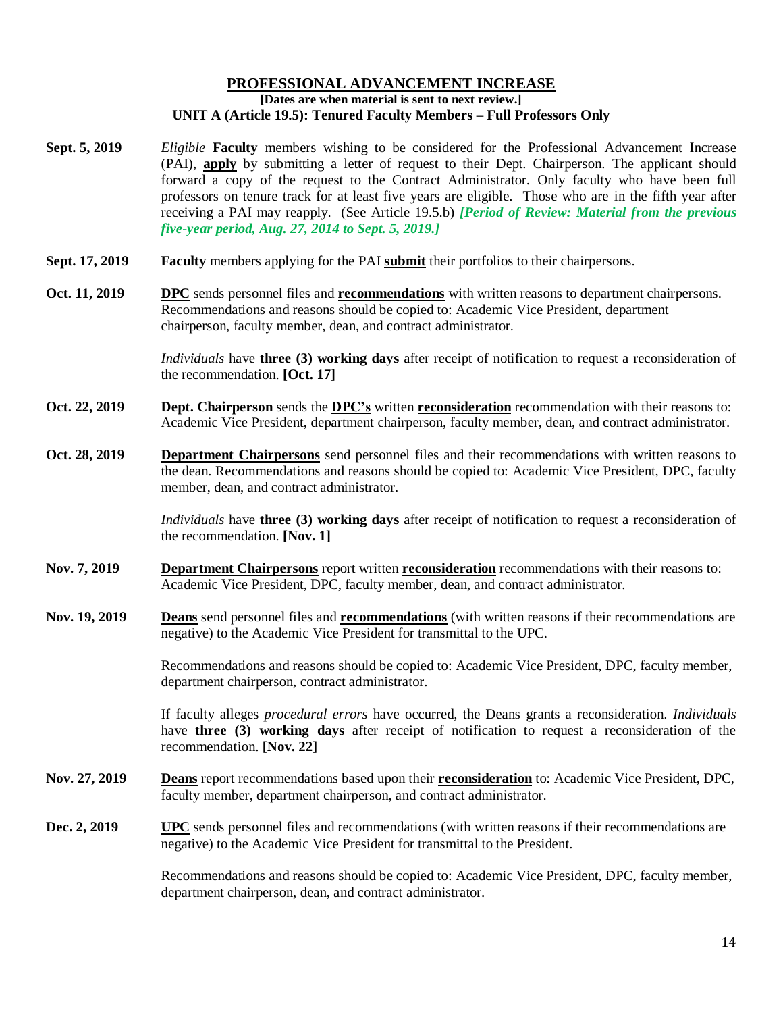#### **PROFESSIONAL ADVANCEMENT INCREASE [Dates are when material is sent to next review.] UNIT A (Article 19.5): Tenured Faculty Members – Full Professors Only**

- **Sept. 5, 2019** *Eligible* **Faculty** members wishing to be considered for the Professional Advancement Increase (PAI), **apply** by submitting a letter of request to their Dept. Chairperson. The applicant should forward a copy of the request to the Contract Administrator. Only faculty who have been full professors on tenure track for at least five years are eligible. Those who are in the fifth year after receiving a PAI may reapply. (See Article 19.5.b) *[Period of Review: Material from the previous five-year period, Aug. 27, 2014 to Sept. 5, 2019.]*
- **Sept. 17, 2019 Faculty** members applying for the PAI **submit** their portfolios to their chairpersons.
- **Oct. 11, 2019 DPC** sends personnel files and **recommendations** with written reasons to department chairpersons. Recommendations and reasons should be copied to: Academic Vice President, department chairperson, faculty member, dean, and contract administrator.

*Individuals* have **three (3) working days** after receipt of notification to request a reconsideration of the recommendation. **[Oct. 17]**

- **Oct. 22, 2019 Dept. Chairperson** sends the **DPC's** written **reconsideration** recommendation with their reasons to: Academic Vice President, department chairperson, faculty member, dean, and contract administrator.
- **Oct. 28, 2019 Department Chairpersons** send personnel files and their recommendations with written reasons to the dean. Recommendations and reasons should be copied to: Academic Vice President, DPC, faculty member, dean, and contract administrator.

*Individuals* have **three (3) working days** after receipt of notification to request a reconsideration of the recommendation. **[Nov. 1]**

- **Nov. 7, 2019 Department Chairpersons** report written **reconsideration** recommendations with their reasons to: Academic Vice President, DPC, faculty member, dean, and contract administrator.
- **Nov. 19, 2019 Deans** send personnel files and **recommendations** (with written reasons if their recommendations are negative) to the Academic Vice President for transmittal to the UPC.

Recommendations and reasons should be copied to: Academic Vice President, DPC, faculty member, department chairperson, contract administrator.

If faculty alleges *procedural errors* have occurred, the Deans grants a reconsideration. *Individuals* have **three (3) working days** after receipt of notification to request a reconsideration of the recommendation. **[Nov. 22]**

- **Nov. 27, 2019 Deans** report recommendations based upon their **reconsideration** to: Academic Vice President, DPC, faculty member, department chairperson, and contract administrator.
- **Dec. 2, 2019 UPC** sends personnel files and recommendations (with written reasons if their recommendations are negative) to the Academic Vice President for transmittal to the President.

Recommendations and reasons should be copied to: Academic Vice President, DPC, faculty member, department chairperson, dean, and contract administrator.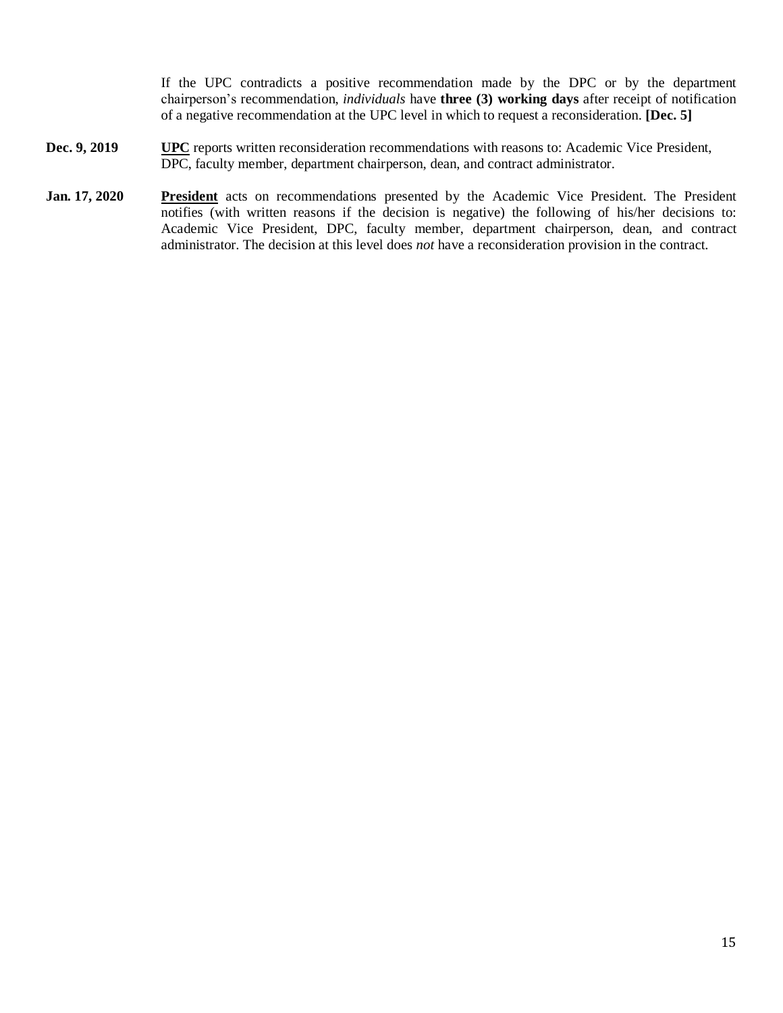If the UPC contradicts a positive recommendation made by the DPC or by the department chairperson's recommendation, *individuals* have **three (3) working days** after receipt of notification of a negative recommendation at the UPC level in which to request a reconsideration. **[Dec. 5]**

- **Dec. 9, 2019 UPC** reports written reconsideration recommendations with reasons to: Academic Vice President, DPC, faculty member, department chairperson, dean, and contract administrator.
- Jan. 17, 2020 **President** acts on recommendations presented by the Academic Vice President. The President notifies (with written reasons if the decision is negative) the following of his/her decisions to: Academic Vice President, DPC, faculty member, department chairperson, dean, and contract administrator. The decision at this level does *not* have a reconsideration provision in the contract.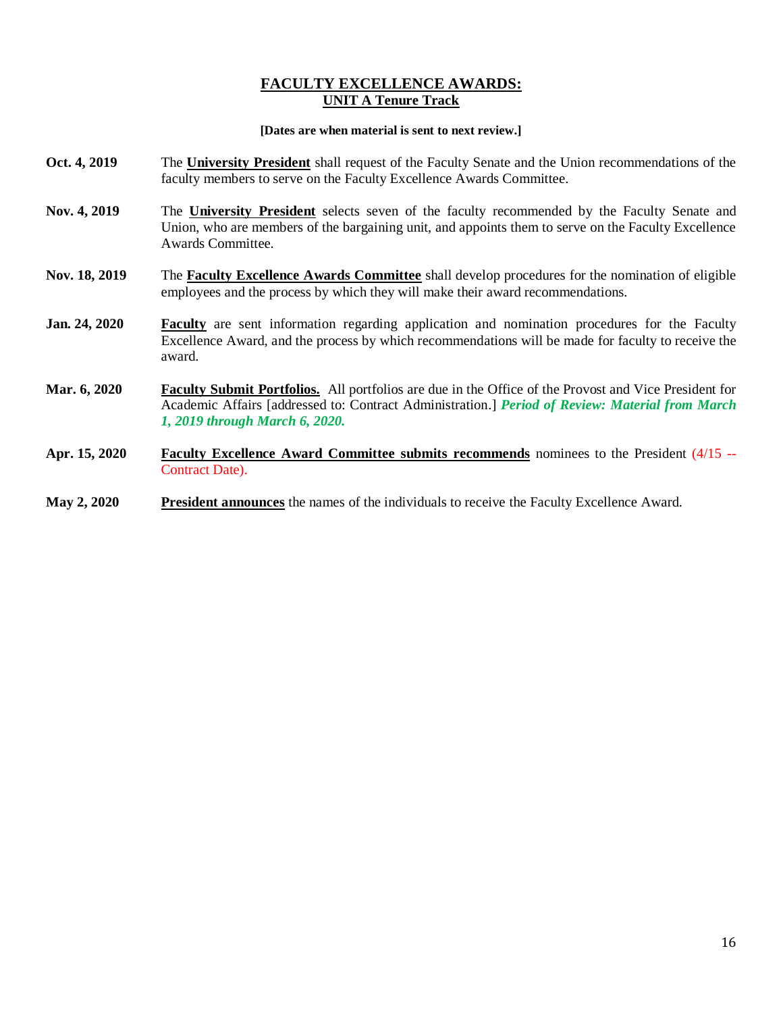## **FACULTY EXCELLENCE AWARDS: UNIT A Tenure Track**

#### **[Dates are when material is sent to next review.]**

- **Oct. 4, 2019** The **University President** shall request of the Faculty Senate and the Union recommendations of the faculty members to serve on the Faculty Excellence Awards Committee.
- **Nov. 4, 2019** The **University President** selects seven of the faculty recommended by the Faculty Senate and Union, who are members of the bargaining unit, and appoints them to serve on the Faculty Excellence Awards Committee.
- **Nov. 18, 2019** The **Faculty Excellence Awards Committee** shall develop procedures for the nomination of eligible employees and the process by which they will make their award recommendations.
- **Jan. 24, 2020 Faculty** are sent information regarding application and nomination procedures for the Faculty Excellence Award, and the process by which recommendations will be made for faculty to receive the award.
- **Mar. 6, 2020 Faculty Submit Portfolios.** All portfolios are due in the Office of the Provost and Vice President for Academic Affairs [addressed to: Contract Administration.] *Period of Review: Material from March 1, 2019 through March 6, 2020.*
- **Apr. 15, 2020 Faculty Excellence Award Committee submits recommends** nominees to the President (4/15 -- Contract Date).
- **May 2, 2020 President announces** the names of the individuals to receive the Faculty Excellence Award.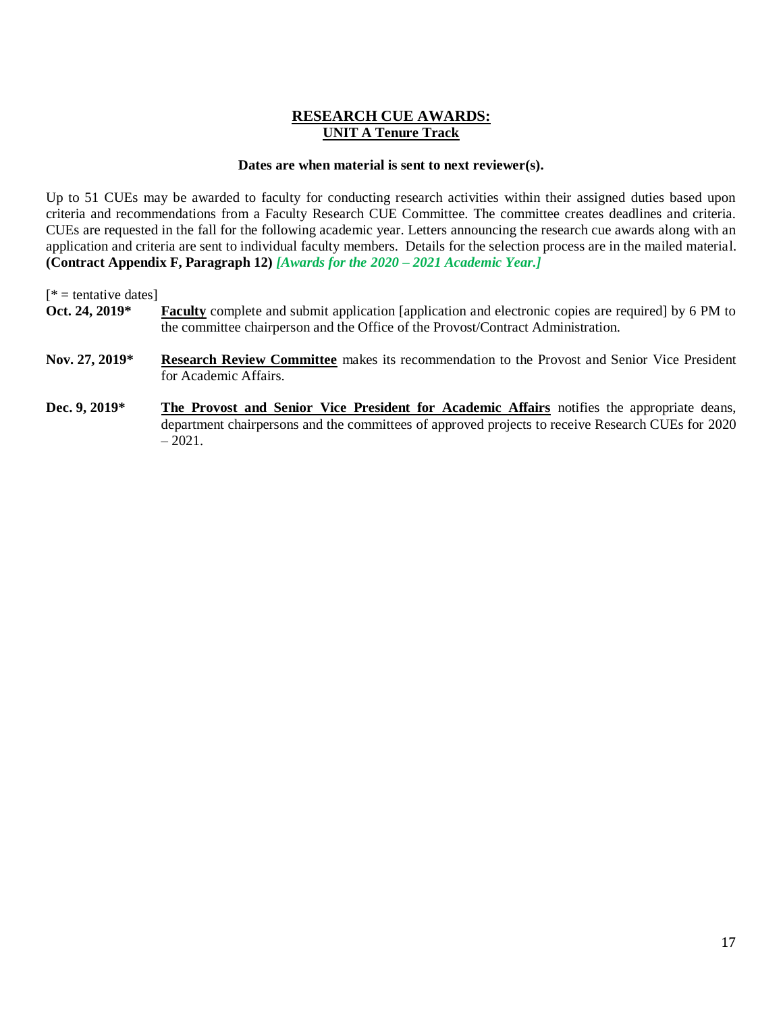# **RESEARCH CUE AWARDS: UNIT A Tenure Track**

## **Dates are when material is sent to next reviewer(s).**

Up to 51 CUEs may be awarded to faculty for conducting research activities within their assigned duties based upon criteria and recommendations from a Faculty Research CUE Committee. The committee creates deadlines and criteria. CUEs are requested in the fall for the following academic year. Letters announcing the research cue awards along with an application and criteria are sent to individual faculty members. Details for the selection process are in the mailed material. **(Contract Appendix F, Paragraph 12)** *[Awards for the 2020 – 2021 Academic Year.]*

 $[$  \* = tentative dates]

- **Oct. 24, 2019\* Faculty** complete and submit application [application and electronic copies are required] by 6 PM to the committee chairperson and the Office of the Provost/Contract Administration.
- **Nov. 27, 2019\* Research Review Committee** makes its recommendation to the Provost and Senior Vice President for Academic Affairs.
- **Dec. 9, 2019\* The Provost and Senior Vice President for Academic Affairs** notifies the appropriate deans, department chairpersons and the committees of approved projects to receive Research CUEs for 2020  $-2021.$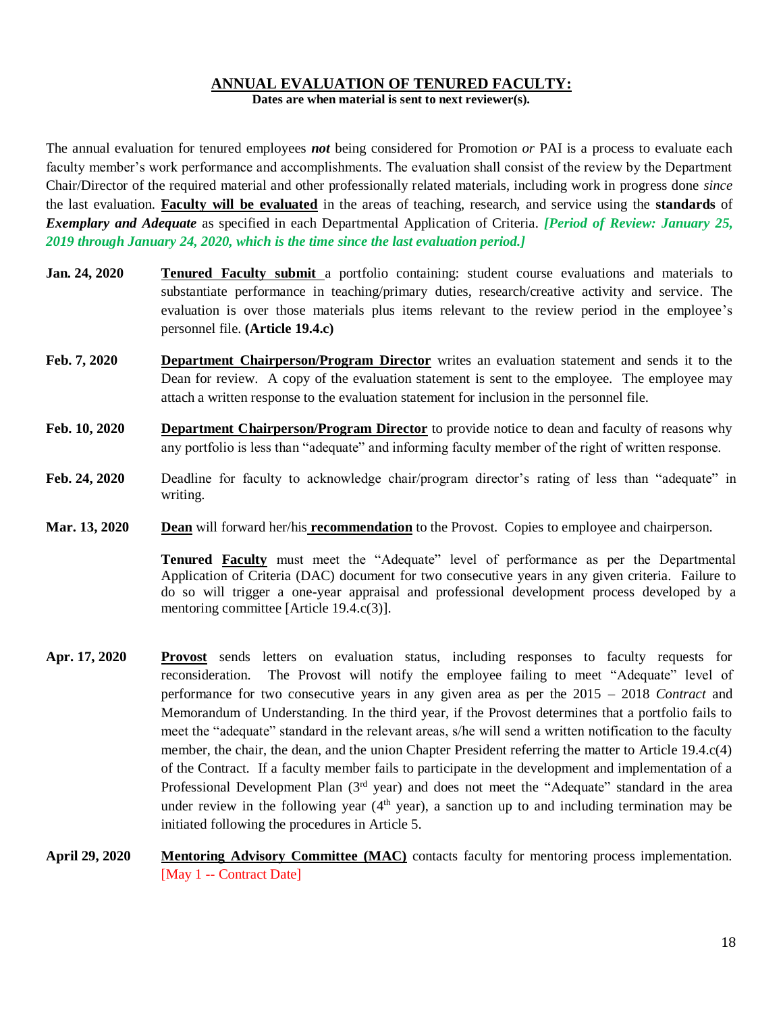# **ANNUAL EVALUATION OF TENURED FACULTY:**

**Dates are when material is sent to next reviewer(s).**

The annual evaluation for tenured employees *not* being considered for Promotion *or* PAI is a process to evaluate each faculty member's work performance and accomplishments. The evaluation shall consist of the review by the Department Chair/Director of the required material and other professionally related materials, including work in progress done *since* the last evaluation. **Faculty will be evaluated** in the areas of teaching, research, and service using the **standards** of *Exemplary and Adequate* as specified in each Departmental Application of Criteria. *[Period of Review: January 25, 2019 through January 24, 2020, which is the time since the last evaluation period.]*

- **Jan. 24, 2020 Tenured Faculty submit** a portfolio containing: student course evaluations and materials to substantiate performance in teaching/primary duties, research/creative activity and service. The evaluation is over those materials plus items relevant to the review period in the employee's personnel file. **(Article 19.4.c)**
- **Feb. 7, 2020 Department Chairperson/Program Director** writes an evaluation statement and sends it to the Dean for review. A copy of the evaluation statement is sent to the employee. The employee may attach a written response to the evaluation statement for inclusion in the personnel file.
- **Feb. 10, 2020 Department Chairperson/Program Director** to provide notice to dean and faculty of reasons why any portfolio is less than "adequate" and informing faculty member of the right of written response.
- **Feb. 24, 2020** Deadline for faculty to acknowledge chair/program director's rating of less than "adequate" in writing.
- **Mar. 13, 2020 Dean** will forward her/his **recommendation** to the Provost. Copies to employee and chairperson.

**Tenured Faculty** must meet the "Adequate" level of performance as per the Departmental Application of Criteria (DAC) document for two consecutive years in any given criteria. Failure to do so will trigger a one-year appraisal and professional development process developed by a mentoring committee [Article 19.4.c(3)].

- **Apr. 17, 2020 Provost** sends letters on evaluation status, including responses to faculty requests for reconsideration. The Provost will notify the employee failing to meet "Adequate" level of performance for two consecutive years in any given area as per the 2015 – 2018 *Contract* and Memorandum of Understanding. In the third year, if the Provost determines that a portfolio fails to meet the "adequate" standard in the relevant areas, s/he will send a written notification to the faculty member, the chair, the dean, and the union Chapter President referring the matter to Article 19.4.c(4) of the Contract. If a faculty member fails to participate in the development and implementation of a Professional Development Plan (3<sup>rd</sup> year) and does not meet the "Adequate" standard in the area under review in the following year  $(4<sup>th</sup>$  year), a sanction up to and including termination may be initiated following the procedures in Article 5.
- **April 29, 2020 Mentoring Advisory Committee (MAC)** contacts faculty for mentoring process implementation. [May 1 -- Contract Date]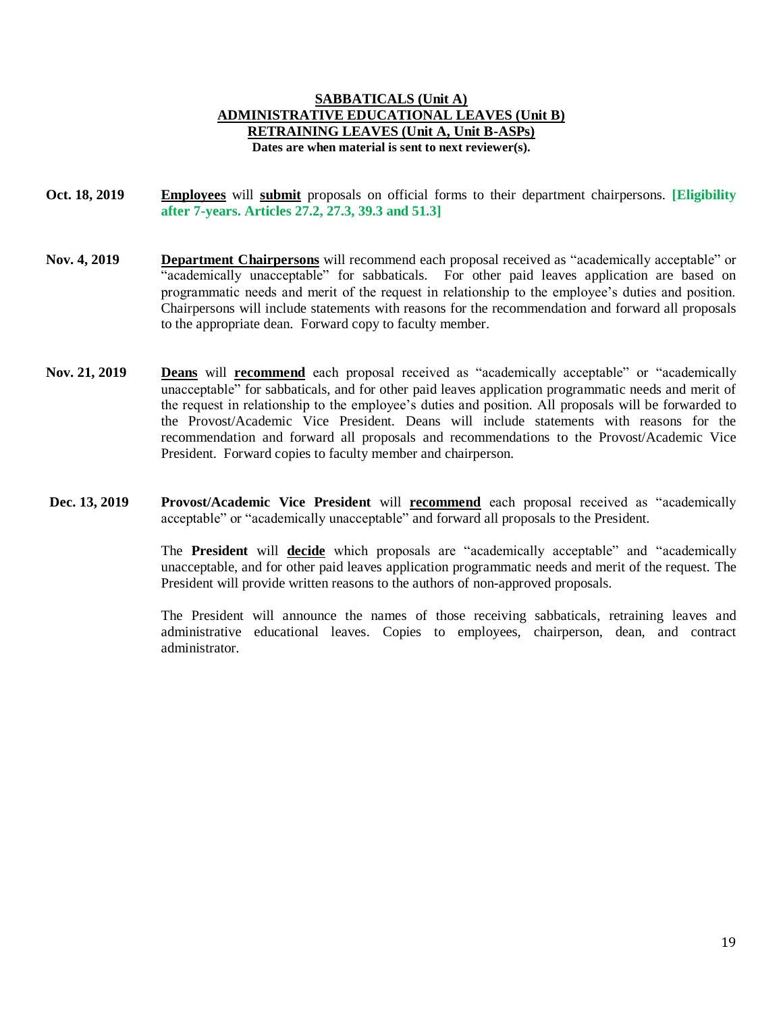## **SABBATICALS (Unit A) ADMINISTRATIVE EDUCATIONAL LEAVES (Unit B) RETRAINING LEAVES (Unit A, Unit B-ASPs) Dates are when material is sent to next reviewer(s).**

**Oct. 18, 2019 Employees** will **submit** proposals on official forms to their department chairpersons. **[Eligibility after 7-years. Articles 27.2, 27.3, 39.3 and 51.3]**

- **Nov. 4, 2019 Department Chairpersons** will recommend each proposal received as "academically acceptable" or "academically unacceptable" for sabbaticals. For other paid leaves application are based on programmatic needs and merit of the request in relationship to the employee's duties and position. Chairpersons will include statements with reasons for the recommendation and forward all proposals to the appropriate dean. Forward copy to faculty member.
- **Nov. 21, 2019 Deans** will **recommend** each proposal received as "academically acceptable" or "academically unacceptable" for sabbaticals, and for other paid leaves application programmatic needs and merit of the request in relationship to the employee's duties and position. All proposals will be forwarded to the Provost/Academic Vice President. Deans will include statements with reasons for the recommendation and forward all proposals and recommendations to the Provost/Academic Vice President. Forward copies to faculty member and chairperson.
- **Dec. 13, 2019 Provost/Academic Vice President** will **recommend** each proposal received as "academically acceptable" or "academically unacceptable" and forward all proposals to the President.

The **President** will **decide** which proposals are "academically acceptable" and "academically unacceptable, and for other paid leaves application programmatic needs and merit of the request. The President will provide written reasons to the authors of non-approved proposals.

The President will announce the names of those receiving sabbaticals, retraining leaves and administrative educational leaves. Copies to employees, chairperson, dean, and contract administrator.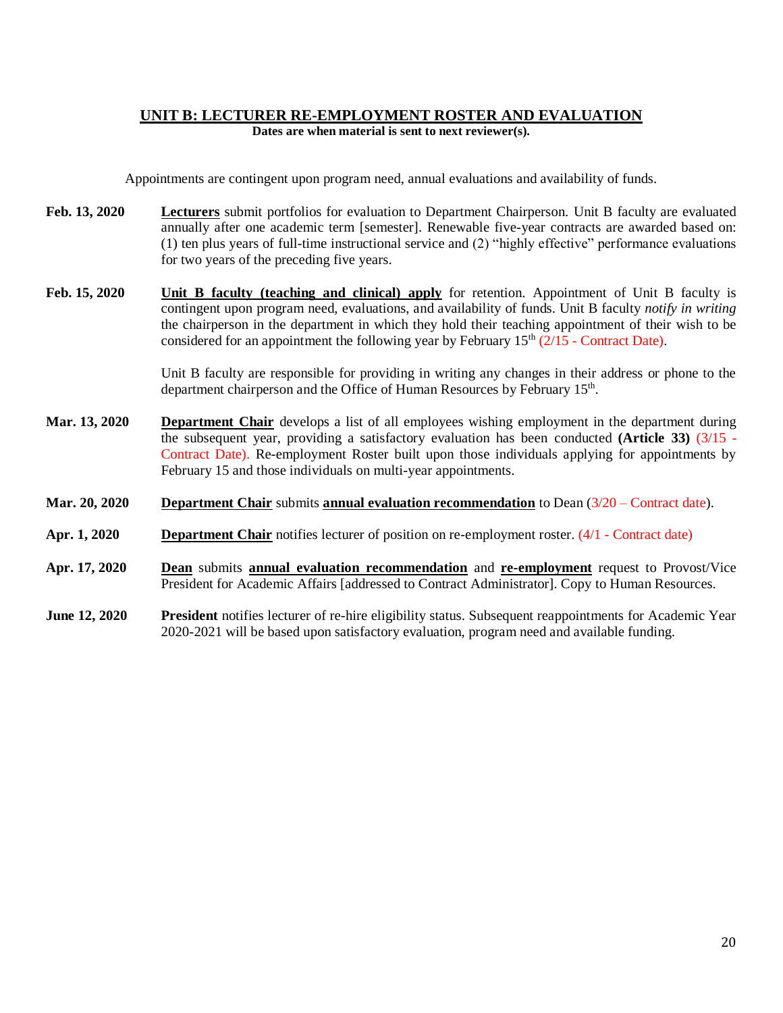## **UNIT B: LECTURER RE-EMPLOYMENT ROSTER AND EVALUATION Dates are when material is sent to next reviewer(s).**

Appointments are contingent upon program need, annual evaluations and availability of funds.

- **Feb. 13, 2020 Lecturers** submit portfolios for evaluation to Department Chairperson. Unit B faculty are evaluated annually after one academic term [semester]. Renewable five-year contracts are awarded based on: (1) ten plus years of full-time instructional service and (2) "highly effective" performance evaluations for two years of the preceding five years.
- **Feb. 15, 2020 Unit B faculty (teaching and clinical) apply** for retention. Appointment of Unit B faculty is contingent upon program need, evaluations, and availability of funds. Unit B faculty *notify in writing* the chairperson in the department in which they hold their teaching appointment of their wish to be considered for an appointment the following year by February  $15<sup>th</sup>$  (2/15 - Contract Date).

Unit B faculty are responsible for providing in writing any changes in their address or phone to the department chairperson and the Office of Human Resources by February 15<sup>th</sup>.

**Mar. 13, 2020 Department Chair** develops a list of all employees wishing employment in the department during the subsequent year, providing a satisfactory evaluation has been conducted **(Article 33)** (3/15 - Contract Date). Re-employment Roster built upon those individuals applying for appointments by February 15 and those individuals on multi-year appointments.

## **Mar. 20, 2020 Department Chair** submits **annual evaluation recommendation** to Dean (3/20 – Contract date).

- **Apr. 1, 2020 Department Chair** notifies lecturer of position on re-employment roster. (4/1 Contract date)
- **Apr. 17, 2020 Dean** submits **annual evaluation recommendation** and **re-employment** request to Provost/Vice President for Academic Affairs [addressed to Contract Administrator]. Copy to Human Resources.
- **June 12, 2020 President** notifies lecturer of re-hire eligibility status. Subsequent reappointments for Academic Year 2020-2021 will be based upon satisfactory evaluation, program need and available funding.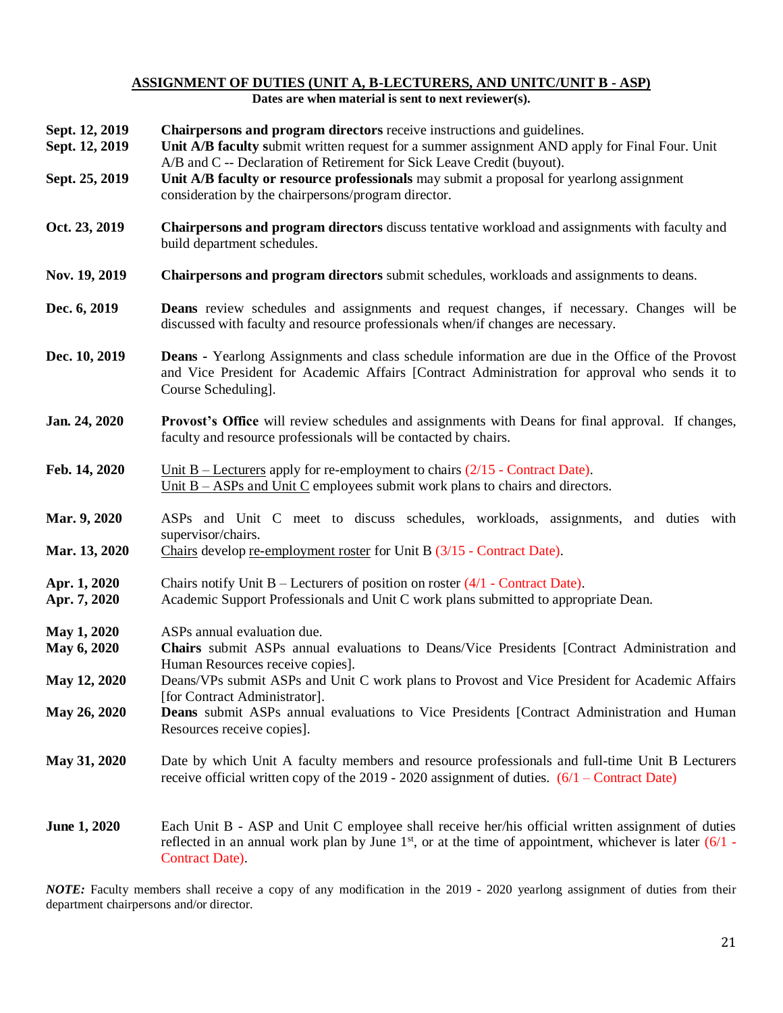## **ASSIGNMENT OF DUTIES (UNIT A, B-LECTURERS, AND UNITC/UNIT B - ASP) Dates are when material is sent to next reviewer(s).**

| Sept. 12, 2019<br>Sept. 12, 2019<br>Sept. 25, 2019 | Chairpersons and program directors receive instructions and guidelines.<br>Unit A/B faculty submit written request for a summer assignment AND apply for Final Four. Unit<br>A/B and C -- Declaration of Retirement for Sick Leave Credit (buyout).<br>Unit A/B faculty or resource professionals may submit a proposal for yearlong assignment<br>consideration by the chairpersons/program director. |
|----------------------------------------------------|--------------------------------------------------------------------------------------------------------------------------------------------------------------------------------------------------------------------------------------------------------------------------------------------------------------------------------------------------------------------------------------------------------|
| Oct. 23, 2019                                      | <b>Chairpersons and program directors</b> discuss tentative workload and assignments with faculty and<br>build department schedules.                                                                                                                                                                                                                                                                   |
| Nov. 19, 2019                                      | Chairpersons and program directors submit schedules, workloads and assignments to deans.                                                                                                                                                                                                                                                                                                               |
| Dec. 6, 2019                                       | <b>Deans</b> review schedules and assignments and request changes, if necessary. Changes will be<br>discussed with faculty and resource professionals when/if changes are necessary.                                                                                                                                                                                                                   |
| Dec. 10, 2019                                      | <b>Deans</b> - Yearlong Assignments and class schedule information are due in the Office of the Provost<br>and Vice President for Academic Affairs [Contract Administration for approval who sends it to<br>Course Scheduling].                                                                                                                                                                        |
| Jan. 24, 2020                                      | <b>Provost's Office</b> will review schedules and assignments with Deans for final approval. If changes,<br>faculty and resource professionals will be contacted by chairs.                                                                                                                                                                                                                            |
| Feb. 14, 2020                                      | Unit $B$ – Lecturers apply for re-employment to chairs $(2/15$ - Contract Date).<br>Unit $B - ASPs$ and Unit C employees submit work plans to chairs and directors.                                                                                                                                                                                                                                    |
| Mar. 9, 2020<br>Mar. 13, 2020                      | ASPs and Unit C meet to discuss schedules, workloads, assignments, and duties with<br>supervisor/chairs.<br>Chairs develop re-employment roster for Unit B (3/15 - Contract Date).                                                                                                                                                                                                                     |
| Apr. 1, 2020<br>Apr. 7, 2020                       | Chairs notify Unit $B$ – Lecturers of position on roster (4/1 - Contract Date).<br>Academic Support Professionals and Unit C work plans submitted to appropriate Dean.                                                                                                                                                                                                                                 |
| May 1, 2020<br>May 6, 2020                         | ASPs annual evaluation due.<br>Chairs submit ASPs annual evaluations to Deans/Vice Presidents [Contract Administration and                                                                                                                                                                                                                                                                             |
| May 12, 2020                                       | Human Resources receive copies].<br>Deans/VPs submit ASPs and Unit C work plans to Provost and Vice President for Academic Affairs                                                                                                                                                                                                                                                                     |
| May 26, 2020                                       | [for Contract Administrator].<br><b>Deans</b> submit ASPs annual evaluations to Vice Presidents [Contract Administration and Human<br>Resources receive copies].                                                                                                                                                                                                                                       |
| May 31, 2020                                       | Date by which Unit A faculty members and resource professionals and full-time Unit B Lecturers<br>receive official written copy of the $2019 - 2020$ assignment of duties. $(6/1 - \text{Contract Date})$                                                                                                                                                                                              |
| <b>June 1, 2020</b>                                | Each Unit B - ASP and Unit C employee shall receive her/his official written assignment of duties<br>reflected in an annual work plan by June $1st$ , or at the time of appointment, whichever is later (6/1 -<br>Contract Date).                                                                                                                                                                      |

*NOTE:* Faculty members shall receive a copy of any modification in the 2019 - 2020 yearlong assignment of duties from their department chairpersons and/or director.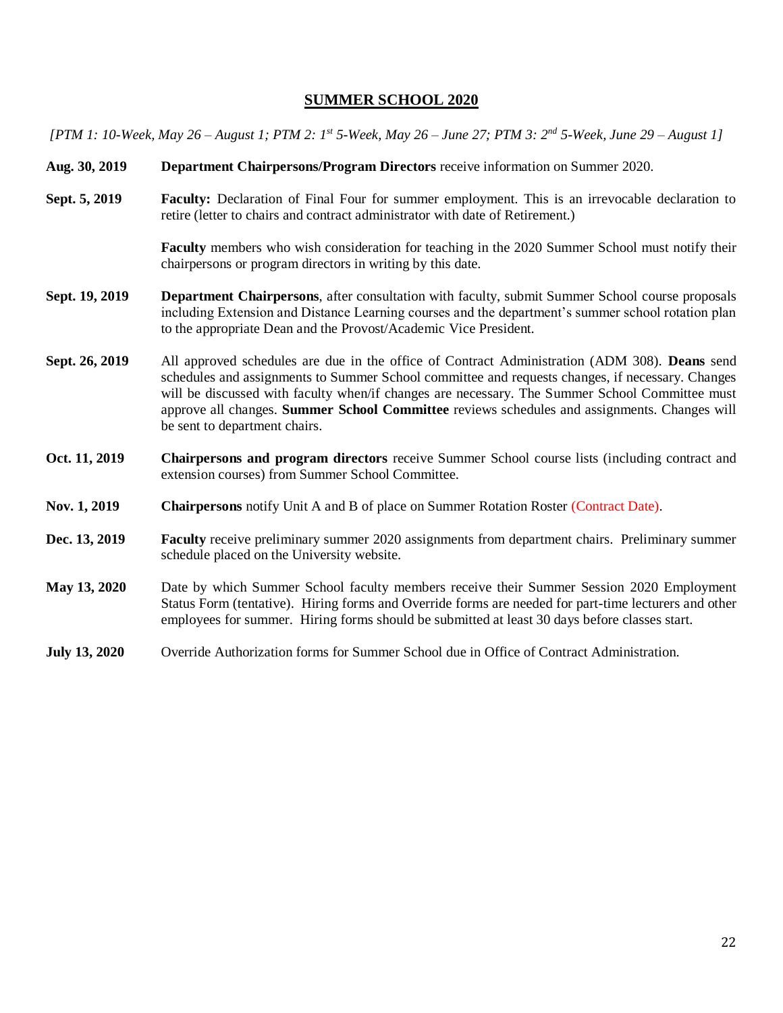## **SUMMER SCHOOL 2020**

*[PTM 1: 10-Week, May 26 – August 1; PTM 2: 1st 5-Week, May 26 – June 27; PTM 3: 2nd 5-Week, June 29 – August 1]*

- **Aug. 30, 2019 Department Chairpersons/Program Directors** receive information on Summer 2020.
- **Sept. 5, 2019 Faculty:** Declaration of Final Four for summer employment. This is an irrevocable declaration to retire (letter to chairs and contract administrator with date of Retirement.)

**Faculty** members who wish consideration for teaching in the 2020 Summer School must notify their chairpersons or program directors in writing by this date.

- **Sept. 19, 2019 Department Chairpersons**, after consultation with faculty, submit Summer School course proposals including Extension and Distance Learning courses and the department's summer school rotation plan to the appropriate Dean and the Provost/Academic Vice President.
- **Sept. 26, 2019** All approved schedules are due in the office of Contract Administration (ADM 308). **Deans** send schedules and assignments to Summer School committee and requests changes, if necessary. Changes will be discussed with faculty when/if changes are necessary. The Summer School Committee must approve all changes. **Summer School Committee** reviews schedules and assignments. Changes will be sent to department chairs.
- **Oct. 11, 2019 Chairpersons and program directors** receive Summer School course lists (including contract and extension courses) from Summer School Committee.
- **Nov. 1, 2019 Chairpersons** notify Unit A and B of place on Summer Rotation Roster (Contract Date).
- **Dec. 13, 2019 Faculty** receive preliminary summer 2020 assignments from department chairs. Preliminary summer schedule placed on the University website.
- **May 13, 2020** Date by which Summer School faculty members receive their Summer Session 2020 Employment Status Form (tentative). Hiring forms and Override forms are needed for part-time lecturers and other employees for summer. Hiring forms should be submitted at least 30 days before classes start.
- **July 13, 2020** Override Authorization forms for Summer School due in Office of Contract Administration.